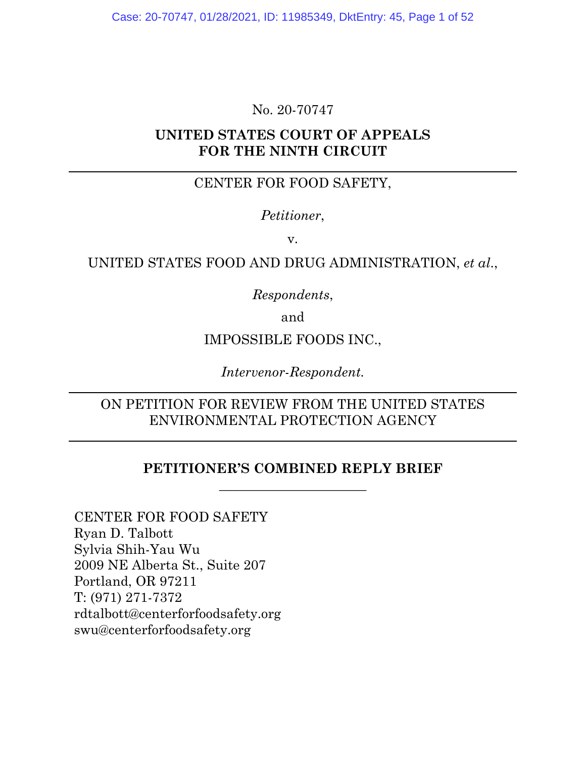# No. 20-70747

# **UNITED STATES COURT OF APPEALS FOR THE NINTH CIRCUIT**

# CENTER FOR FOOD SAFETY,

# *Petitioner*,

v.

## UNITED STATES FOOD AND DRUG ADMINISTRATION, *et al*.,

*Respondents*,

and

## IMPOSSIBLE FOODS INC.,

*Intervenor-Respondent.*

# ON PETITION FOR REVIEW FROM THE UNITED STATES ENVIRONMENTAL PROTECTION AGENCY

# **PETITIONER'S COMBINED REPLY BRIEF** \_\_\_\_\_\_\_\_\_\_\_\_\_\_\_\_\_\_\_\_\_\_

CENTER FOR FOOD SAFETY Ryan D. Talbott Sylvia Shih-Yau Wu 2009 NE Alberta St., Suite 207 Portland, OR 97211 T: (971) 271-7372 rdtalbott@centerforfoodsafety.org swu@centerforfoodsafety.org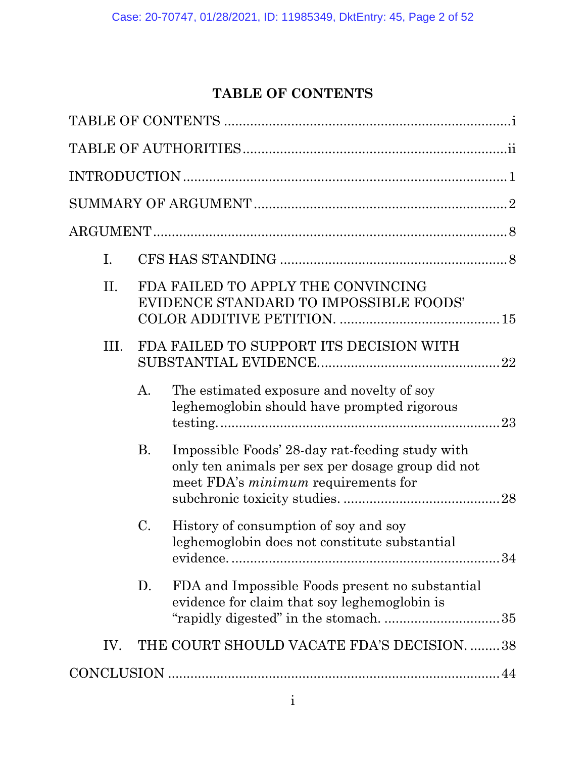# **TABLE OF CONTENTS**

<span id="page-1-0"></span>

| Ι.   |    |                                                                                                                                                    |  |
|------|----|----------------------------------------------------------------------------------------------------------------------------------------------------|--|
| II.  |    | FDA FAILED TO APPLY THE CONVINCING<br>EVIDENCE STANDARD TO IMPOSSIBLE FOODS'                                                                       |  |
| III. |    | FDA FAILED TO SUPPORT ITS DECISION WITH                                                                                                            |  |
|      | А. | The estimated exposure and novelty of soy<br>leghemoglobin should have prompted rigorous                                                           |  |
|      | Β. | Impossible Foods' 28-day rat-feeding study with<br>only ten animals per sex per dosage group did not<br>meet FDA's <i>minimum</i> requirements for |  |
|      | C. | History of consumption of soy and soy<br>leghemoglobin does not constitute substantial                                                             |  |
|      | D. | FDA and Impossible Foods present no substantial<br>evidence for claim that soy leghemoglobin is                                                    |  |
| IV.  |    | THE COURT SHOULD VACATE FDA'S DECISION. 38                                                                                                         |  |
|      |    |                                                                                                                                                    |  |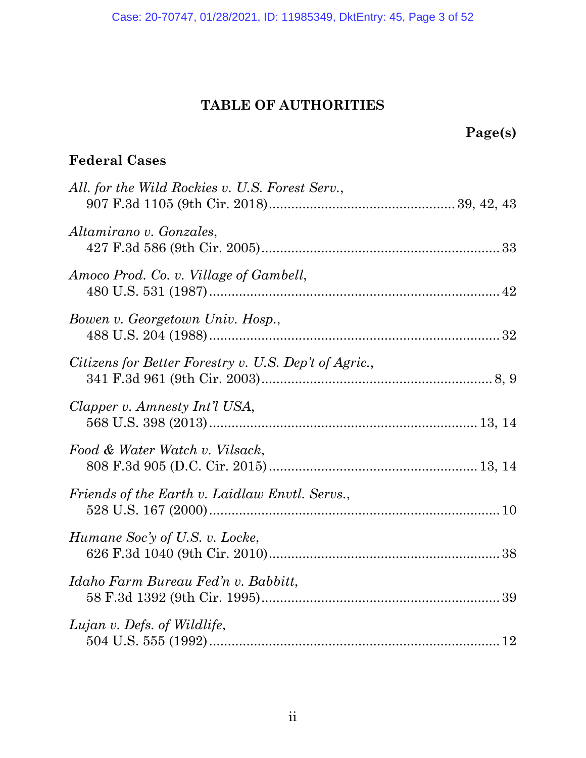# **TABLE OF AUTHORITIES**

# <span id="page-2-0"></span>**Page(s)**

# **Federal Cases**

| All. for the Wild Rockies v. U.S. Forest Serv.,       |  |
|-------------------------------------------------------|--|
| Altamirano v. Gonzales,                               |  |
| Amoco Prod. Co. v. Village of Gambell,                |  |
| Bowen v. Georgetown Univ. Hosp.,                      |  |
| Citizens for Better Forestry v. U.S. Dep't of Agric., |  |
| Clapper v. Amnesty Int'l USA,                         |  |
| Food & Water Watch v. Vilsack,                        |  |
| Friends of the Earth v. Laidlaw Envtl. Servs.,        |  |
| Humane Soc'y of U.S. v. Locke,                        |  |
| Idaho Farm Bureau Fed'n v. Babbitt,                   |  |
| Lujan v. Defs. of Wildlife,                           |  |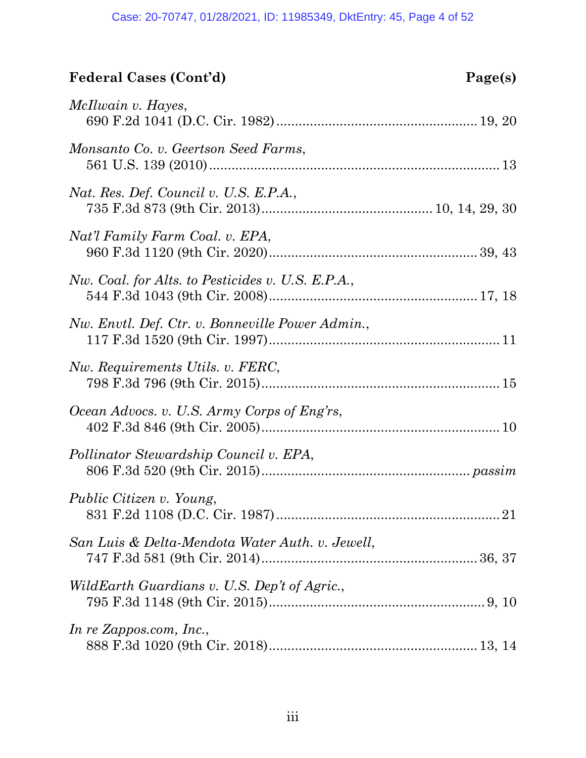# **Federal Cases (Cont'd) Page(s)**

| McIlwain v. Hayes,                                |
|---------------------------------------------------|
| Monsanto Co. v. Geertson Seed Farms,              |
| Nat. Res. Def. Council v. U.S. E.P.A.,            |
| Nat'l Family Farm Coal. v. EPA,                   |
| Nw. Coal. for Alts. to Pesticides v. U.S. E.P.A., |
| Nw. Envtl. Def. Ctr. v. Bonneville Power Admin.,  |
| Nw. Requirements Utils. v. FERC,                  |
| Ocean Advocs. v. U.S. Army Corps of Eng'rs,       |
| Pollinator Stewardship Council v. EPA,            |
| <i>Public Citizen v. Young,</i>                   |
| San Luis & Delta-Mendota Water Auth. v. Jewell,   |
| WildEarth Guardians v. U.S. Dep't of Agric.,      |
| In re Zappos.com, Inc.,                           |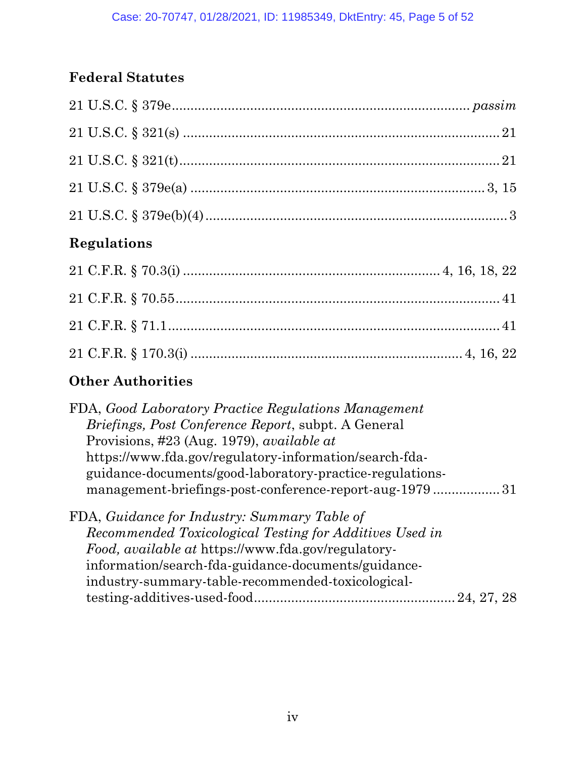# **Federal Statutes**

# **Regulations**

# **Other Authorities**

| FDA, Good Laboratory Practice Regulations Management       |
|------------------------------------------------------------|
| <i>Briefings, Post Conference Report, subpt. A General</i> |
| Provisions, #23 (Aug. 1979), <i>available at</i>           |
| https://www.fda.gov/regulatory-information/search-fda-     |
| guidance-documents/good-laboratory-practice-regulations-   |
| management-briefings-post-conference-report-aug-197931     |
| FDA, Guidance for Industry: Summary Table of               |
| Recommended Toxicological Testing for Additives Used in    |
| Food, available at https://www.fda.gov/regulatory-         |
| information/search-fda-guidance-documents/guidance-        |
| industry-summary-table-recommended-toxicological-          |
| 24, 27, 28                                                 |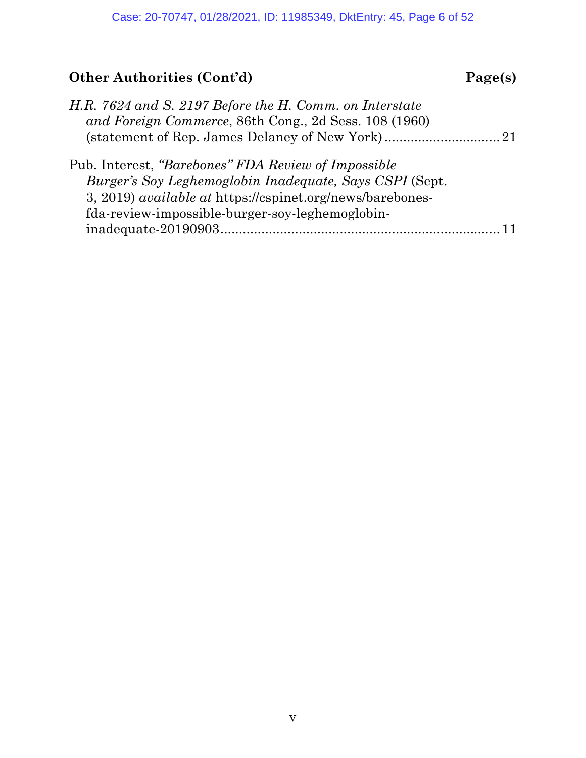# **Other Authorities (Cont'd) Page(s)**

| H.R. 7624 and S. 2197 Before the H. Comm. on Interstate<br>and Foreign Commerce, 86th Cong., 2d Sess. 108 (1960)            |  |
|-----------------------------------------------------------------------------------------------------------------------------|--|
|                                                                                                                             |  |
| Pub. Interest, "Barebones" FDA Review of Impossible                                                                         |  |
| Burger's Soy Leghemoglobin Inadequate, Says CSPI (Sept.<br>3, 2019) <i>available at https://cspinet.org/news/barebones-</i> |  |
| fda-review-impossible-burger-soy-leghemoglobin-                                                                             |  |
|                                                                                                                             |  |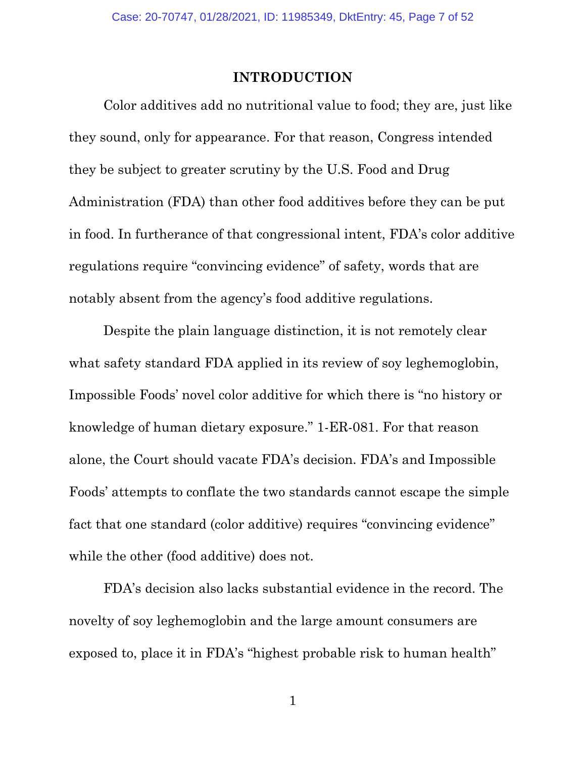#### **INTRODUCTION**

<span id="page-6-0"></span>Color additives add no nutritional value to food; they are, just like they sound, only for appearance. For that reason, Congress intended they be subject to greater scrutiny by the U.S. Food and Drug Administration (FDA) than other food additives before they can be put in food. In furtherance of that congressional intent, FDA's color additive regulations require "convincing evidence" of safety, words that are notably absent from the agency's food additive regulations.

Despite the plain language distinction, it is not remotely clear what safety standard FDA applied in its review of soy leghemoglobin, Impossible Foods' novel color additive for which there is "no history or knowledge of human dietary exposure." 1-ER-081. For that reason alone, the Court should vacate FDA's decision. FDA's and Impossible Foods' attempts to conflate the two standards cannot escape the simple fact that one standard (color additive) requires "convincing evidence" while the other (food additive) does not.

FDA's decision also lacks substantial evidence in the record. The novelty of soy leghemoglobin and the large amount consumers are exposed to, place it in FDA's "highest probable risk to human health"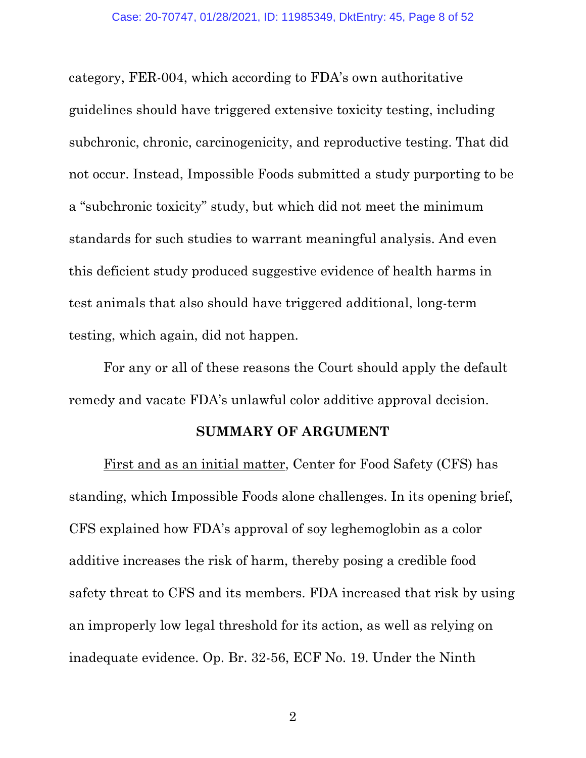category, FER-004, which according to FDA's own authoritative guidelines should have triggered extensive toxicity testing, including subchronic, chronic, carcinogenicity, and reproductive testing. That did not occur. Instead, Impossible Foods submitted a study purporting to be a "subchronic toxicity" study, but which did not meet the minimum standards for such studies to warrant meaningful analysis. And even this deficient study produced suggestive evidence of health harms in test animals that also should have triggered additional, long-term testing, which again, did not happen.

For any or all of these reasons the Court should apply the default remedy and vacate FDA's unlawful color additive approval decision.

#### <span id="page-7-0"></span>**SUMMARY OF ARGUMENT**

First and as an initial matter, Center for Food Safety (CFS) has standing, which Impossible Foods alone challenges. In its opening brief, CFS explained how FDA's approval of soy leghemoglobin as a color additive increases the risk of harm, thereby posing a credible food safety threat to CFS and its members. FDA increased that risk by using an improperly low legal threshold for its action, as well as relying on inadequate evidence. Op. Br. 32-56, ECF No. 19. Under the Ninth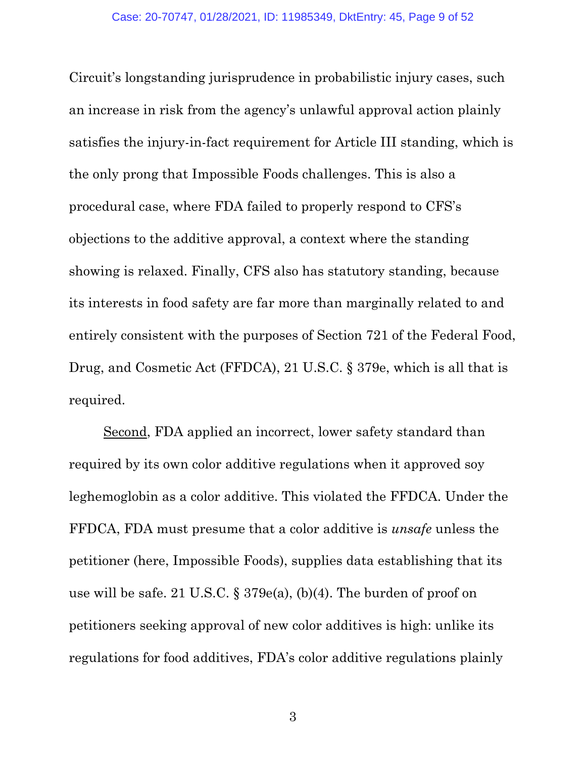Circuit's longstanding jurisprudence in probabilistic injury cases, such an increase in risk from the agency's unlawful approval action plainly satisfies the injury-in-fact requirement for Article III standing, which is the only prong that Impossible Foods challenges. This is also a procedural case, where FDA failed to properly respond to CFS's objections to the additive approval, a context where the standing showing is relaxed. Finally, CFS also has statutory standing, because its interests in food safety are far more than marginally related to and entirely consistent with the purposes of Section 721 of the Federal Food, Drug, and Cosmetic Act (FFDCA), 21 U.S.C. § 379e, which is all that is required.

<span id="page-8-1"></span><span id="page-8-0"></span>Second, FDA applied an incorrect, lower safety standard than required by its own color additive regulations when it approved soy leghemoglobin as a color additive. This violated the FFDCA. Under the FFDCA, FDA must presume that a color additive is *unsafe* unless the petitioner (here, Impossible Foods), supplies data establishing that its use will be safe. 21 U.S.C. § 379e(a), (b)(4). The burden of proof on petitioners seeking approval of new color additives is high: unlike its regulations for food additives, FDA's color additive regulations plainly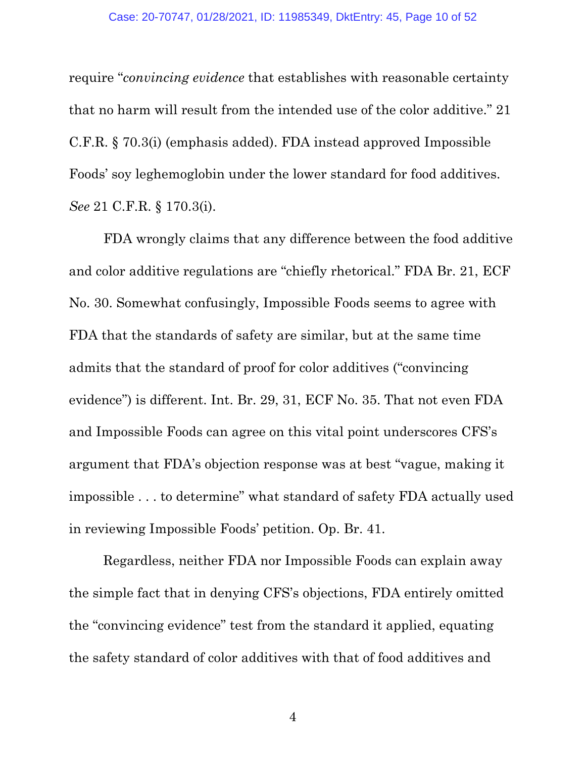<span id="page-9-0"></span>require "*convincing evidence* that establishes with reasonable certainty that no harm will result from the intended use of the color additive." 21 C.F.R. § 70.3(i) (emphasis added). FDA instead approved Impossible Foods' soy leghemoglobin under the lower standard for food additives. *See* 21 C.F.R. § 170.3(i).

<span id="page-9-1"></span>FDA wrongly claims that any difference between the food additive and color additive regulations are "chiefly rhetorical." FDA Br. 21, ECF No. 30. Somewhat confusingly, Impossible Foods seems to agree with FDA that the standards of safety are similar, but at the same time admits that the standard of proof for color additives ("convincing evidence") is different. Int. Br. 29, 31, ECF No. 35. That not even FDA and Impossible Foods can agree on this vital point underscores CFS's argument that FDA's objection response was at best "vague, making it impossible . . . to determine" what standard of safety FDA actually used in reviewing Impossible Foods' petition. Op. Br. 41.

Regardless, neither FDA nor Impossible Foods can explain away the simple fact that in denying CFS's objections, FDA entirely omitted the "convincing evidence" test from the standard it applied, equating the safety standard of color additives with that of food additives and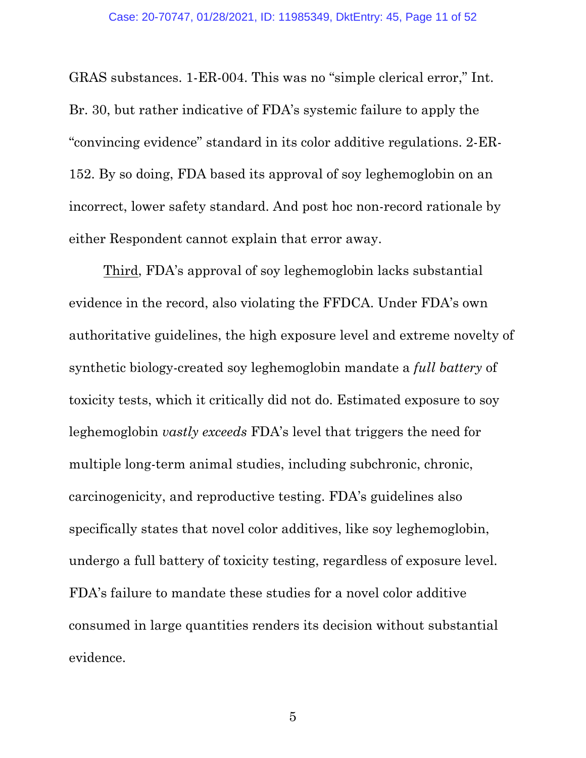GRAS substances. 1-ER-004. This was no "simple clerical error," Int. Br. 30, but rather indicative of FDA's systemic failure to apply the "convincing evidence" standard in its color additive regulations. 2-ER-152. By so doing, FDA based its approval of soy leghemoglobin on an incorrect, lower safety standard. And post hoc non-record rationale by either Respondent cannot explain that error away.

Third, FDA's approval of soy leghemoglobin lacks substantial evidence in the record, also violating the FFDCA. Under FDA's own authoritative guidelines, the high exposure level and extreme novelty of synthetic biology-created soy leghemoglobin mandate a *full battery* of toxicity tests, which it critically did not do. Estimated exposure to soy leghemoglobin *vastly exceeds* FDA's level that triggers the need for multiple long-term animal studies, including subchronic, chronic, carcinogenicity, and reproductive testing. FDA's guidelines also specifically states that novel color additives, like soy leghemoglobin, undergo a full battery of toxicity testing, regardless of exposure level. FDA's failure to mandate these studies for a novel color additive consumed in large quantities renders its decision without substantial evidence.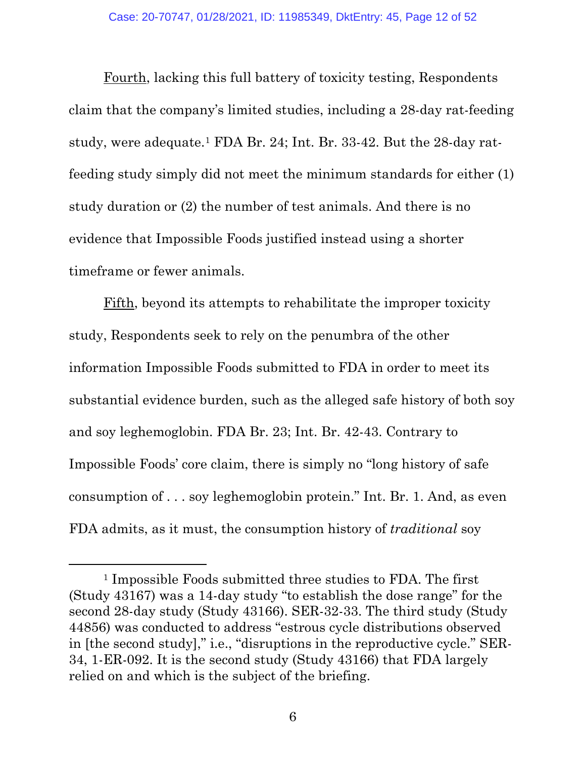Fourth, lacking this full battery of toxicity testing, Respondents claim that the company's limited studies, including a 28-day rat-feeding study, were adequate.[1](#page-11-0) FDA Br. 24; Int. Br. 33-42. But the 28-day ratfeeding study simply did not meet the minimum standards for either (1) study duration or (2) the number of test animals. And there is no evidence that Impossible Foods justified instead using a shorter timeframe or fewer animals.

Fifth, beyond its attempts to rehabilitate the improper toxicity study, Respondents seek to rely on the penumbra of the other information Impossible Foods submitted to FDA in order to meet its substantial evidence burden, such as the alleged safe history of both soy and soy leghemoglobin. FDA Br. 23; Int. Br. 42-43. Contrary to Impossible Foods' core claim, there is simply no "long history of safe consumption of . . . soy leghemoglobin protein." Int. Br. 1. And, as even FDA admits, as it must, the consumption history of *traditional* soy

<span id="page-11-0"></span><sup>1</sup> Impossible Foods submitted three studies to FDA. The first (Study 43167) was a 14-day study "to establish the dose range" for the second 28-day study (Study 43166). SER-32-33. The third study (Study 44856) was conducted to address "estrous cycle distributions observed in [the second study]," i.e., "disruptions in the reproductive cycle." SER-34, 1-ER-092. It is the second study (Study 43166) that FDA largely relied on and which is the subject of the briefing.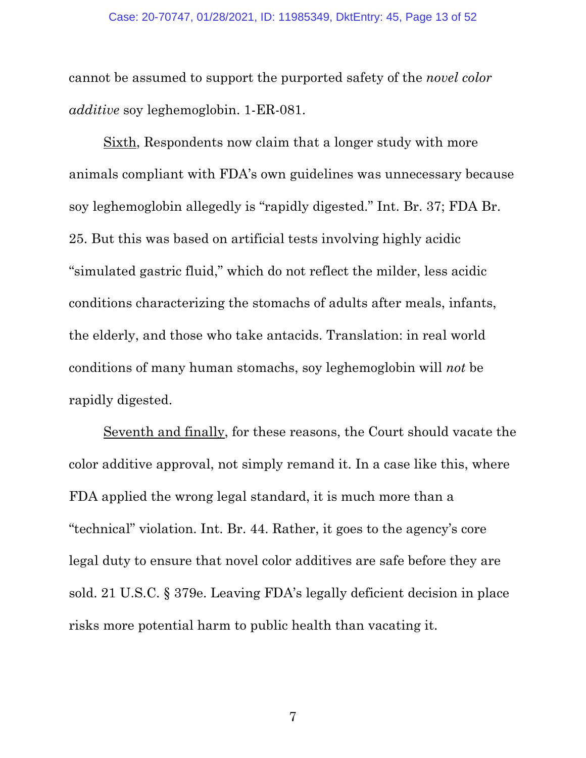cannot be assumed to support the purported safety of the *novel color additive* soy leghemoglobin. 1-ER-081.

Sixth, Respondents now claim that a longer study with more animals compliant with FDA's own guidelines was unnecessary because soy leghemoglobin allegedly is "rapidly digested." Int. Br. 37; FDA Br. 25. But this was based on artificial tests involving highly acidic "simulated gastric fluid," which do not reflect the milder, less acidic conditions characterizing the stomachs of adults after meals, infants, the elderly, and those who take antacids. Translation: in real world conditions of many human stomachs, soy leghemoglobin will *not* be rapidly digested.

Seventh and finally, for these reasons, the Court should vacate the color additive approval, not simply remand it. In a case like this, where FDA applied the wrong legal standard, it is much more than a "technical" violation. Int. Br. 44. Rather, it goes to the agency's core legal duty to ensure that novel color additives are safe before they are sold. 21 U.S.C. § 379e. Leaving FDA's legally deficient decision in place risks more potential harm to public health than vacating it.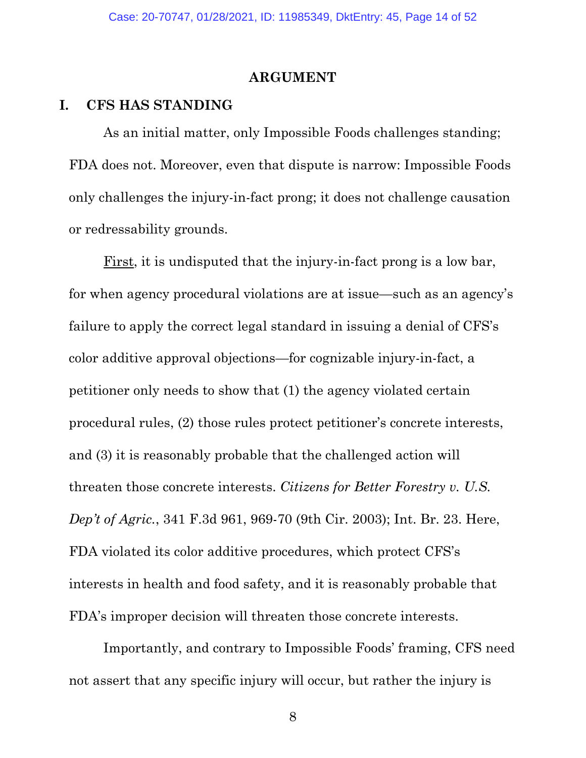#### **ARGUMENT**

#### <span id="page-13-1"></span><span id="page-13-0"></span>**I. CFS HAS STANDING**

As an initial matter, only Impossible Foods challenges standing; FDA does not. Moreover, even that dispute is narrow: Impossible Foods only challenges the injury-in-fact prong; it does not challenge causation or redressability grounds.

First, it is undisputed that the injury-in-fact prong is a low bar, for when agency procedural violations are at issue—such as an agency's failure to apply the correct legal standard in issuing a denial of CFS's color additive approval objections—for cognizable injury-in-fact, a petitioner only needs to show that (1) the agency violated certain procedural rules, (2) those rules protect petitioner's concrete interests, and (3) it is reasonably probable that the challenged action will threaten those concrete interests. *Citizens for Better Forestry v. U.S. Dep't of Agric.*, 341 F.3d 961, 969-70 (9th Cir. 2003); Int. Br. 23. Here, FDA violated its color additive procedures, which protect CFS's interests in health and food safety, and it is reasonably probable that FDA's improper decision will threaten those concrete interests.

<span id="page-13-2"></span>Importantly, and contrary to Impossible Foods' framing, CFS need not assert that any specific injury will occur, but rather the injury is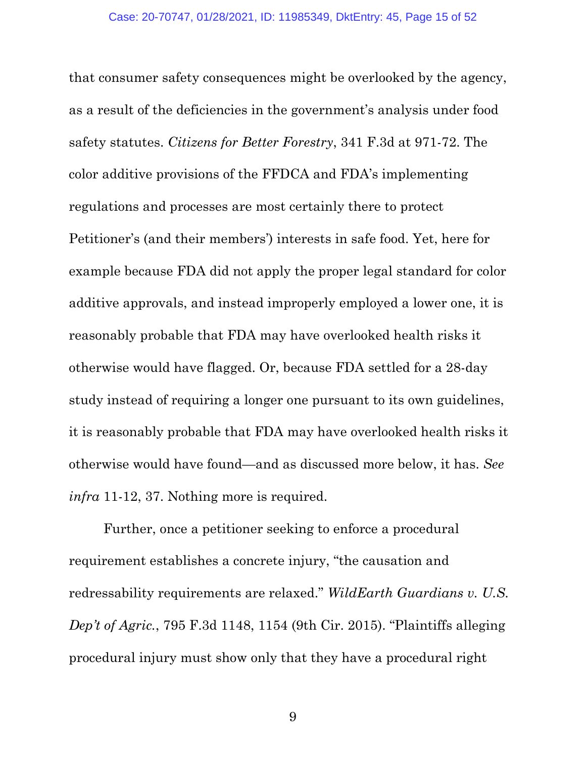<span id="page-14-0"></span>that consumer safety consequences might be overlooked by the agency, as a result of the deficiencies in the government's analysis under food safety statutes. *Citizens for Better Forestry*, 341 F.3d at 971-72. The color additive provisions of the FFDCA and FDA's implementing regulations and processes are most certainly there to protect Petitioner's (and their members') interests in safe food. Yet, here for example because FDA did not apply the proper legal standard for color additive approvals, and instead improperly employed a lower one, it is reasonably probable that FDA may have overlooked health risks it otherwise would have flagged. Or, because FDA settled for a 28-day study instead of requiring a longer one pursuant to its own guidelines, it is reasonably probable that FDA may have overlooked health risks it otherwise would have found—and as discussed more below, it has. *See infra* 11-12, 37. Nothing more is required.

<span id="page-14-1"></span>Further, once a petitioner seeking to enforce a procedural requirement establishes a concrete injury, "the causation and redressability requirements are relaxed." *WildEarth Guardians v. U.S. Dep't of Agric.*, 795 F.3d 1148, 1154 (9th Cir. 2015). "Plaintiffs alleging procedural injury must show only that they have a procedural right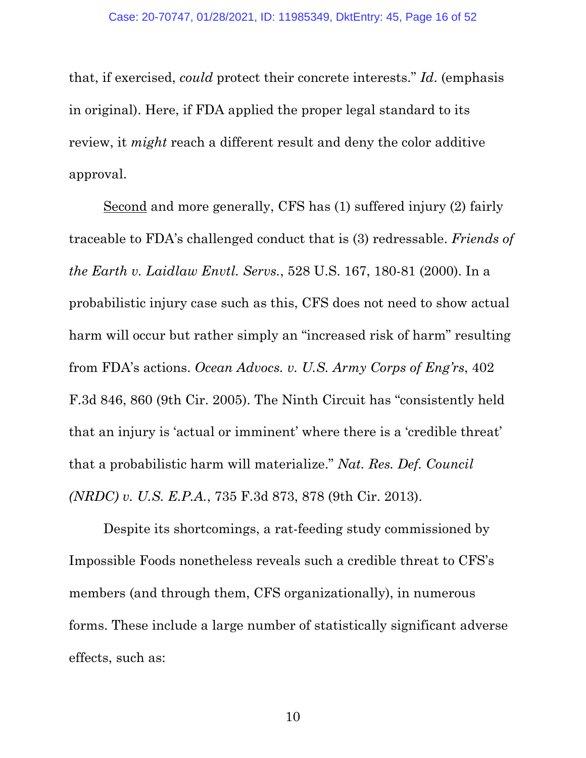<span id="page-15-3"></span>that, if exercised, *could* protect their concrete interests." *Id*. (emphasis in original). Here, if FDA applied the proper legal standard to its review, it *might* reach a different result and deny the color additive approval.

<span id="page-15-2"></span><span id="page-15-0"></span>Second and more generally, CFS has (1) suffered injury (2) fairly traceable to FDA's challenged conduct that is (3) redressable. *Friends of the Earth v. Laidlaw Envtl. Servs.*, 528 U.S. 167, 180-81 (2000). In a probabilistic injury case such as this, CFS does not need to show actual harm will occur but rather simply an "increased risk of harm" resulting from FDA's actions. *Ocean Advocs. v. U.S. Army Corps of Eng'rs*, 402 F.3d 846, 860 (9th Cir. 2005). The Ninth Circuit has "consistently held that an injury is 'actual or imminent' where there is a 'credible threat' that a probabilistic harm will materialize." *Nat. Res. Def. Council (NRDC) v. U.S. E.P.A.*, 735 F.3d 873, 878 (9th Cir. 2013).

<span id="page-15-1"></span>Despite its shortcomings, a rat-feeding study commissioned by Impossible Foods nonetheless reveals such a credible threat to CFS's members (and through them, CFS organizationally), in numerous forms. These include a large number of statistically significant adverse effects, such as: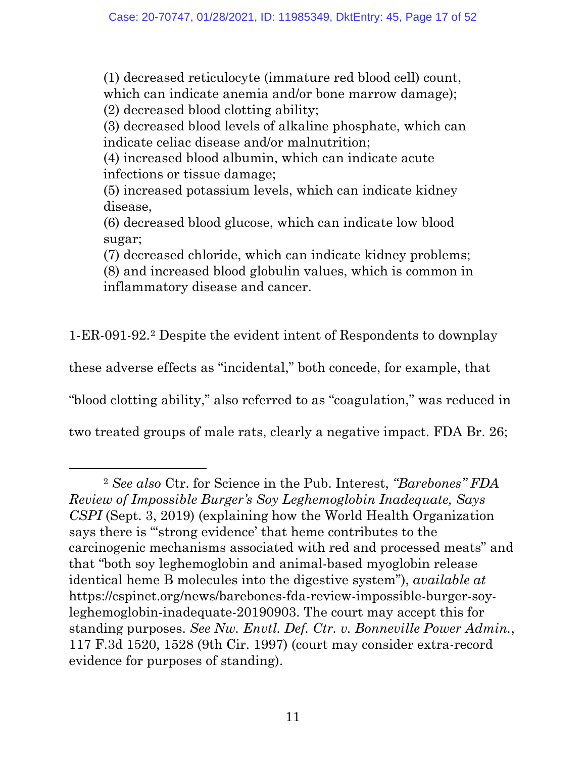(1) decreased reticulocyte (immature red blood cell) count, which can indicate anemia and/or bone marrow damage); (2) decreased blood clotting ability;

(3) decreased blood levels of alkaline phosphate, which can indicate celiac disease and/or malnutrition;

(4) increased blood albumin, which can indicate acute infections or tissue damage;

(5) increased potassium levels, which can indicate kidney disease,

(6) decreased blood glucose, which can indicate low blood sugar;

(7) decreased chloride, which can indicate kidney problems; (8) and increased blood globulin values, which is common in inflammatory disease and cancer.

1-ER-091-92.[2](#page-16-2) Despite the evident intent of Respondents to downplay

these adverse effects as "incidental," both concede, for example, that

"blood clotting ability," also referred to as "coagulation," was reduced in

two treated groups of male rats, clearly a negative impact. FDA Br. 26;

<span id="page-16-2"></span><span id="page-16-1"></span><span id="page-16-0"></span><sup>2</sup> *See also* Ctr. for Science in the Pub. Interest, *"Barebones" FDA Review of Impossible Burger's Soy Leghemoglobin Inadequate, Says CSPI* (Sept. 3, 2019) (explaining how the World Health Organization says there is "'strong evidence' that heme contributes to the carcinogenic mechanisms associated with red and processed meats" and that "both soy leghemoglobin and animal-based myoglobin release identical heme B molecules into the digestive system"), *available at*  https://cspinet.org/news/barebones-fda-review-impossible-burger-soyleghemoglobin-inadequate-20190903. The court may accept this for standing purposes. *See Nw. Envtl. Def. Ctr. v. Bonneville Power Admin.*, 117 F.3d 1520, 1528 (9th Cir. 1997) (court may consider extra-record evidence for purposes of standing).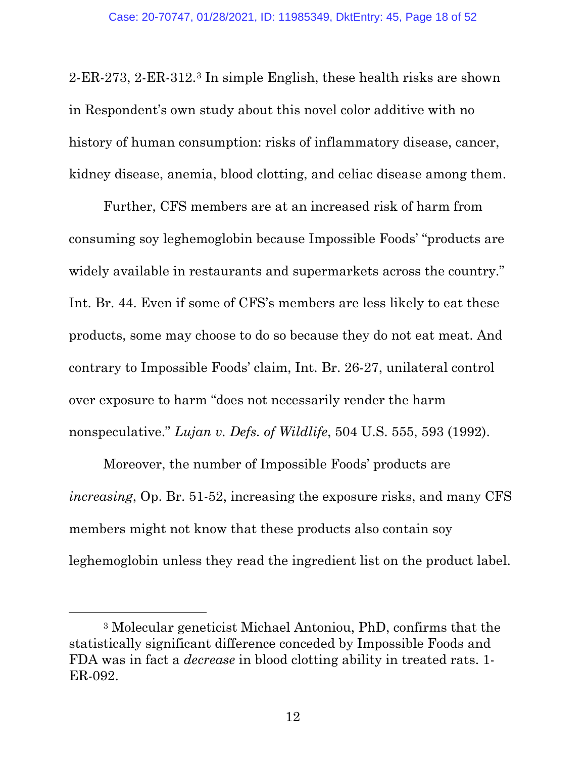2-ER-273, 2-ER-312.[3](#page-17-1) In simple English, these health risks are shown in Respondent's own study about this novel color additive with no history of human consumption: risks of inflammatory disease, cancer, kidney disease, anemia, blood clotting, and celiac disease among them.

Further, CFS members are at an increased risk of harm from consuming soy leghemoglobin because Impossible Foods' "products are widely available in restaurants and supermarkets across the country." Int. Br. 44. Even if some of CFS's members are less likely to eat these products, some may choose to do so because they do not eat meat. And contrary to Impossible Foods' claim, Int. Br. 26-27, unilateral control over exposure to harm "does not necessarily render the harm nonspeculative." *Lujan v. Defs. of Wildlife*, 504 U.S. 555, 593 (1992).

<span id="page-17-0"></span>Moreover, the number of Impossible Foods' products are *increasing*, Op. Br. 51-52, increasing the exposure risks, and many CFS members might not know that these products also contain soy leghemoglobin unless they read the ingredient list on the product label.

<span id="page-17-1"></span><sup>3</sup> Molecular geneticist Michael Antoniou, PhD, confirms that the statistically significant difference conceded by Impossible Foods and FDA was in fact a *decrease* in blood clotting ability in treated rats. 1- ER-092.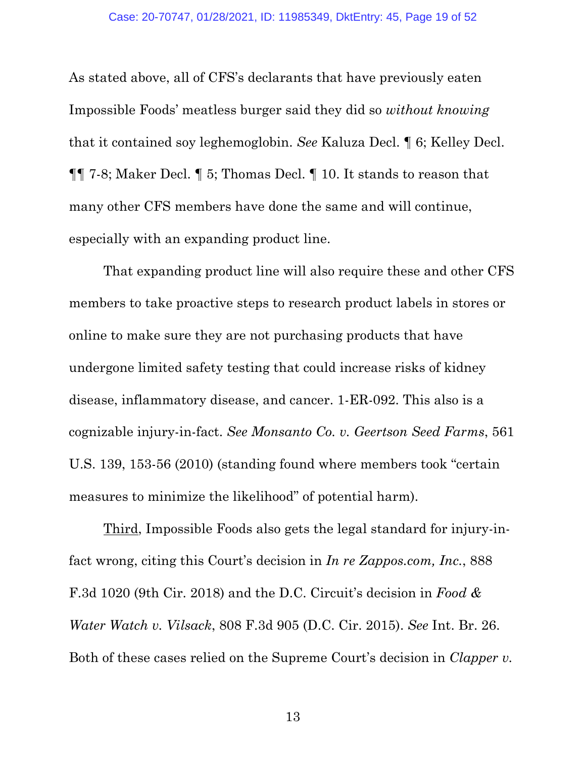As stated above, all of CFS's declarants that have previously eaten Impossible Foods' meatless burger said they did so *without knowing* that it contained soy leghemoglobin. *See* Kaluza Decl. ¶ 6; Kelley Decl. ¶¶ 7-8; Maker Decl. ¶ 5; Thomas Decl. ¶ 10. It stands to reason that many other CFS members have done the same and will continue, especially with an expanding product line.

That expanding product line will also require these and other CFS members to take proactive steps to research product labels in stores or online to make sure they are not purchasing products that have undergone limited safety testing that could increase risks of kidney disease, inflammatory disease, and cancer. 1-ER-092. This also is a cognizable injury-in-fact. *See Monsanto Co. v. Geertson Seed Farms*, 561 U.S. 139, 153-56 (2010) (standing found where members took "certain measures to minimize the likelihood" of potential harm).

<span id="page-18-3"></span><span id="page-18-2"></span><span id="page-18-1"></span><span id="page-18-0"></span>Third, Impossible Foods also gets the legal standard for injury-infact wrong, citing this Court's decision in *In re Zappos.com, Inc.*, 888 F.3d 1020 (9th Cir. 2018) and the D.C. Circuit's decision in *Food & Water Watch v. Vilsack*, 808 F.3d 905 (D.C. Cir. 2015). *See* Int. Br. 26. Both of these cases relied on the Supreme Court's decision in *Clapper v.*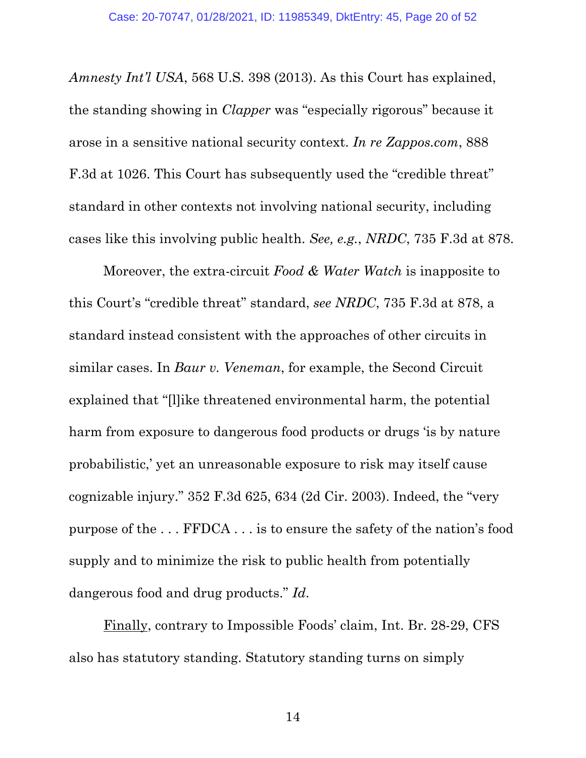<span id="page-19-3"></span><span id="page-19-0"></span>*Amnesty Int'l USA*, 568 U.S. 398 (2013). As this Court has explained, the standing showing in *Clapper* was "especially rigorous" because it arose in a sensitive national security context. *In re Zappos.com*, 888 F.3d at 1026. This Court has subsequently used the "credible threat" standard in other contexts not involving national security, including cases like this involving public health. *See, e.g.*, *NRDC*, 735 F.3d at 878.

<span id="page-19-2"></span><span id="page-19-1"></span>Moreover, the extra-circuit *Food & Water Watch* is inapposite to this Court's "credible threat" standard, *see NRDC*, 735 F.3d at 878, a standard instead consistent with the approaches of other circuits in similar cases. In *Baur v. Veneman*, for example, the Second Circuit explained that "[l]ike threatened environmental harm, the potential harm from exposure to dangerous food products or drugs 'is by nature probabilistic,' yet an unreasonable exposure to risk may itself cause cognizable injury." 352 F.3d 625, 634 (2d Cir. 2003). Indeed, the "very purpose of the . . . FFDCA . . . is to ensure the safety of the nation's food supply and to minimize the risk to public health from potentially dangerous food and drug products." *Id*.

Finally, contrary to Impossible Foods' claim, Int. Br. 28-29, CFS also has statutory standing. Statutory standing turns on simply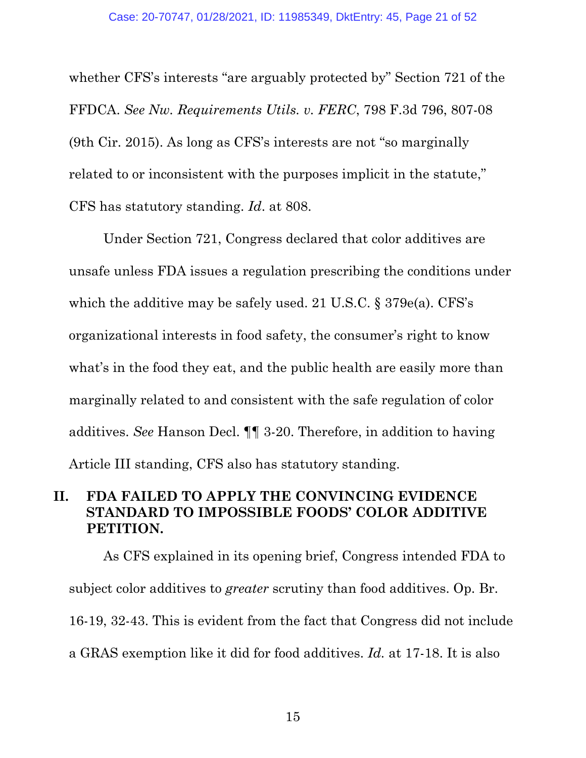<span id="page-20-1"></span>whether CFS's interests "are arguably protected by" Section 721 of the FFDCA. *See Nw. Requirements Utils. v. FERC*, 798 F.3d 796, 807-08 (9th Cir. 2015). As long as CFS's interests are not "so marginally related to or inconsistent with the purposes implicit in the statute," CFS has statutory standing. *Id*. at 808.

<span id="page-20-2"></span>Under Section 721, Congress declared that color additives are unsafe unless FDA issues a regulation prescribing the conditions under which the additive may be safely used. 21 U.S.C. § 379e(a). CFS's organizational interests in food safety, the consumer's right to know what's in the food they eat, and the public health are easily more than marginally related to and consistent with the safe regulation of color additives. *See* Hanson Decl. ¶¶ 3-20. Therefore, in addition to having Article III standing, CFS also has statutory standing.

# <span id="page-20-0"></span>**II. FDA FAILED TO APPLY THE CONVINCING EVIDENCE STANDARD TO IMPOSSIBLE FOODS' COLOR ADDITIVE PETITION.**

As CFS explained in its opening brief, Congress intended FDA to subject color additives to *greater* scrutiny than food additives. Op. Br. 16-19, 32-43. This is evident from the fact that Congress did not include a GRAS exemption like it did for food additives. *Id.* at 17-18. It is also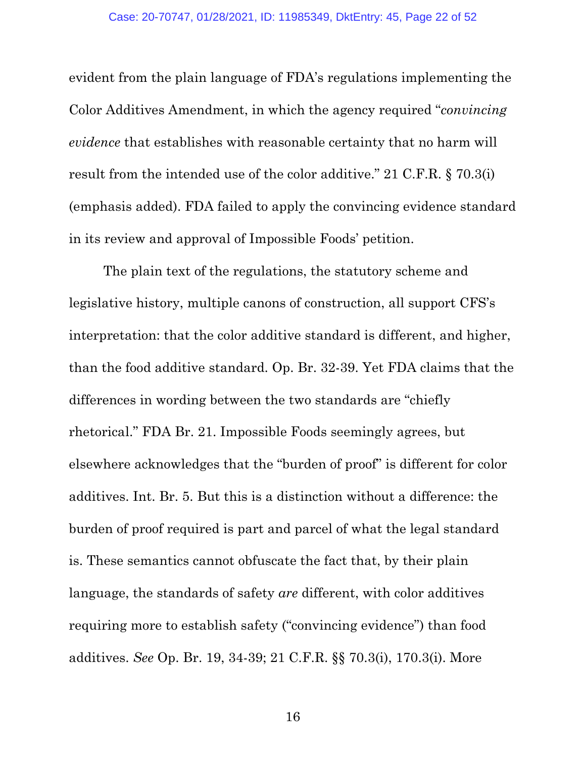<span id="page-21-0"></span>evident from the plain language of FDA's regulations implementing the Color Additives Amendment, in which the agency required "*convincing evidence* that establishes with reasonable certainty that no harm will result from the intended use of the color additive." 21 C.F.R. § 70.3(i) (emphasis added). FDA failed to apply the convincing evidence standard in its review and approval of Impossible Foods' petition.

The plain text of the regulations, the statutory scheme and legislative history, multiple canons of construction, all support CFS's interpretation: that the color additive standard is different, and higher, than the food additive standard. Op. Br. 32-39. Yet FDA claims that the differences in wording between the two standards are "chiefly rhetorical." FDA Br. 21. Impossible Foods seemingly agrees, but elsewhere acknowledges that the "burden of proof" is different for color additives. Int. Br. 5. But this is a distinction without a difference: the burden of proof required is part and parcel of what the legal standard is. These semantics cannot obfuscate the fact that, by their plain language, the standards of safety *are* different, with color additives requiring more to establish safety ("convincing evidence") than food additives. *See* Op. Br. 19, 34-39; 21 C.F.R. §§ 70.3(i), 170.3(i). More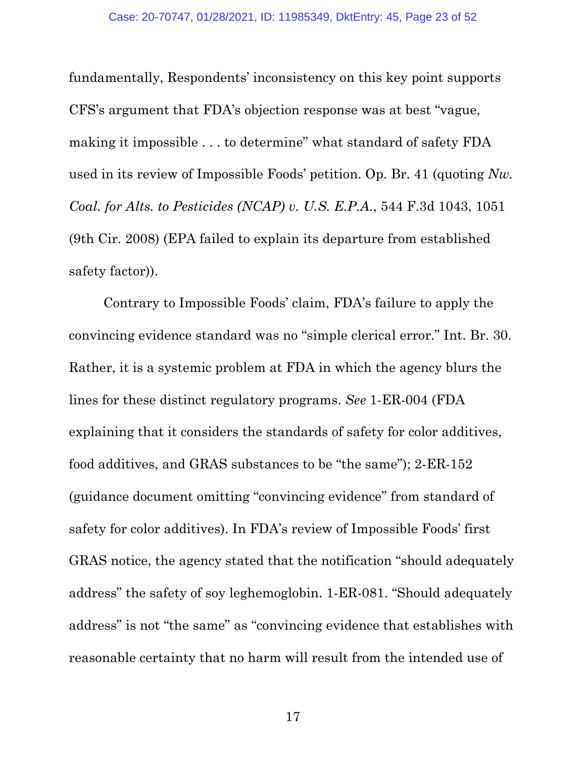fundamentally, Respondents' inconsistency on this key point supports CFS's argument that FDA's objection response was at best "vague, making it impossible . . . to determine" what standard of safety FDA used in its review of Impossible Foods' petition. Op. Br. 41 (quoting *Nw. Coal. for Alts. to Pesticides (NCAP) v. U.S. E.P.A.*, 544 F.3d 1043, 1051 (9th Cir. 2008) (EPA failed to explain its departure from established safety factor)).

Contrary to Impossible Foods' claim, FDA's failure to apply the convincing evidence standard was no "simple clerical error." Int. Br. 30. Rather, it is a systemic problem at FDA in which the agency blurs the lines for these distinct regulatory programs. *See* 1-ER-004 (FDA explaining that it considers the standards of safety for color additives, food additives, and GRAS substances to be "the same"); 2-ER-152 (guidance document omitting "convincing evidence" from standard of safety for color additives). In FDA's review of Impossible Foods' first GRAS notice, the agency stated that the notification "should adequately address" the safety of soy leghemoglobin. 1-ER-081. "Should adequately address" is not "the same" as "convincing evidence that establishes with reasonable certainty that no harm will result from the intended use of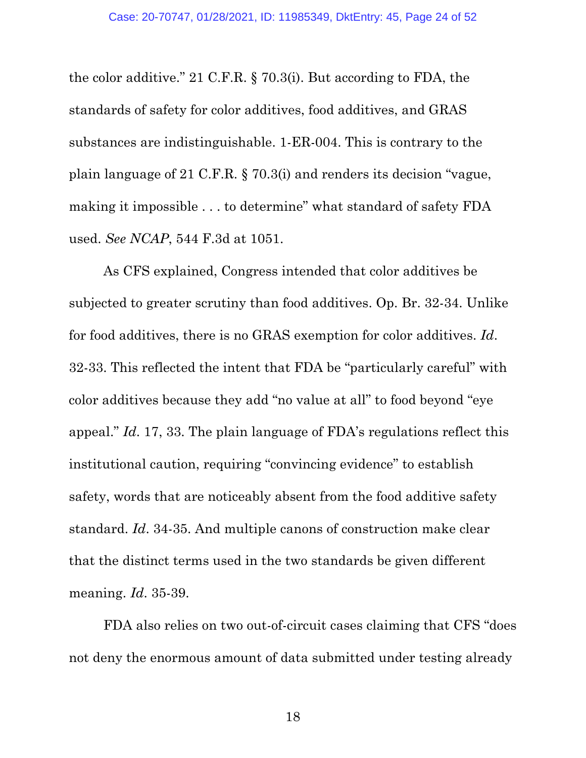<span id="page-23-1"></span>the color additive." 21 C.F.R. § 70.3(i). But according to FDA, the standards of safety for color additives, food additives, and GRAS substances are indistinguishable. 1-ER-004. This is contrary to the plain language of 21 C.F.R. § 70.3(i) and renders its decision "vague, making it impossible . . . to determine" what standard of safety FDA used. *See NCAP*, 544 F.3d at 1051.

<span id="page-23-0"></span>As CFS explained, Congress intended that color additives be subjected to greater scrutiny than food additives. Op. Br. 32-34. Unlike for food additives, there is no GRAS exemption for color additives. *Id*. 32-33. This reflected the intent that FDA be "particularly careful" with color additives because they add "no value at all" to food beyond "eye appeal." *Id*. 17, 33. The plain language of FDA's regulations reflect this institutional caution, requiring "convincing evidence" to establish safety, words that are noticeably absent from the food additive safety standard. *Id*. 34-35. And multiple canons of construction make clear that the distinct terms used in the two standards be given different meaning. *Id*. 35-39.

FDA also relies on two out-of-circuit cases claiming that CFS "does not deny the enormous amount of data submitted under testing already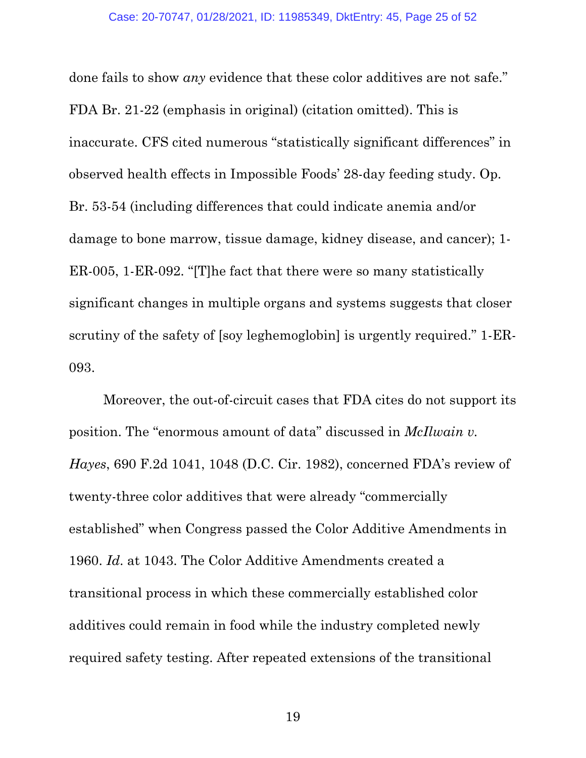done fails to show *any* evidence that these color additives are not safe." FDA Br. 21-22 (emphasis in original) (citation omitted). This is inaccurate. CFS cited numerous "statistically significant differences" in observed health effects in Impossible Foods' 28-day feeding study. Op. Br. 53-54 (including differences that could indicate anemia and/or damage to bone marrow, tissue damage, kidney disease, and cancer); 1- ER-005, 1-ER-092. "[T]he fact that there were so many statistically significant changes in multiple organs and systems suggests that closer scrutiny of the safety of [soy leghemoglobin] is urgently required." 1-ER-093.

<span id="page-24-0"></span>Moreover, the out-of-circuit cases that FDA cites do not support its position. The "enormous amount of data" discussed in *McIlwain v. Hayes*, 690 F.2d 1041, 1048 (D.C. Cir. 1982), concerned FDA's review of twenty-three color additives that were already "commercially established" when Congress passed the Color Additive Amendments in 1960. *Id*. at 1043. The Color Additive Amendments created a transitional process in which these commercially established color additives could remain in food while the industry completed newly required safety testing. After repeated extensions of the transitional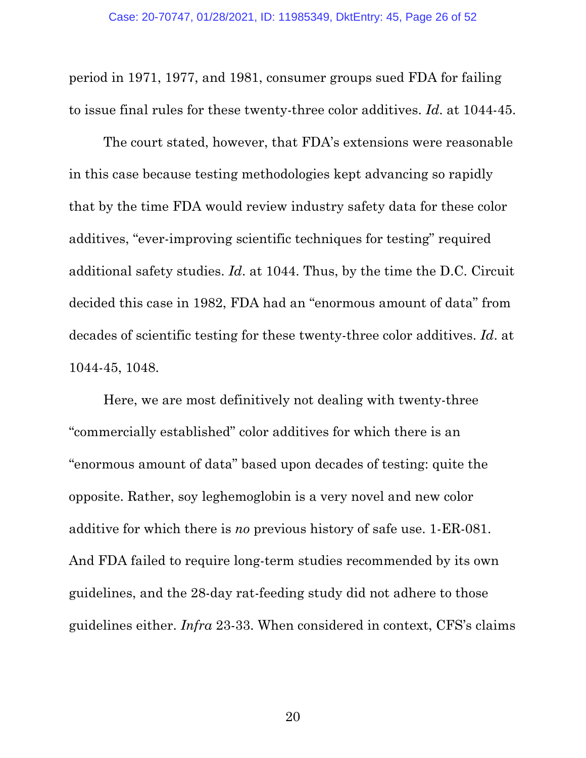<span id="page-25-0"></span>period in 1971, 1977, and 1981, consumer groups sued FDA for failing to issue final rules for these twenty-three color additives. *Id*. at 1044-45.

The court stated, however, that FDA's extensions were reasonable in this case because testing methodologies kept advancing so rapidly that by the time FDA would review industry safety data for these color additives, "ever-improving scientific techniques for testing" required additional safety studies. *Id*. at 1044. Thus, by the time the D.C. Circuit decided this case in 1982, FDA had an "enormous amount of data" from decades of scientific testing for these twenty-three color additives. *Id*. at 1044-45, 1048.

Here, we are most definitively not dealing with twenty-three "commercially established" color additives for which there is an "enormous amount of data" based upon decades of testing: quite the opposite. Rather, soy leghemoglobin is a very novel and new color additive for which there is *no* previous history of safe use. 1-ER-081. And FDA failed to require long-term studies recommended by its own guidelines, and the 28-day rat-feeding study did not adhere to those guidelines either. *Infra* 23-33. When considered in context, CFS's claims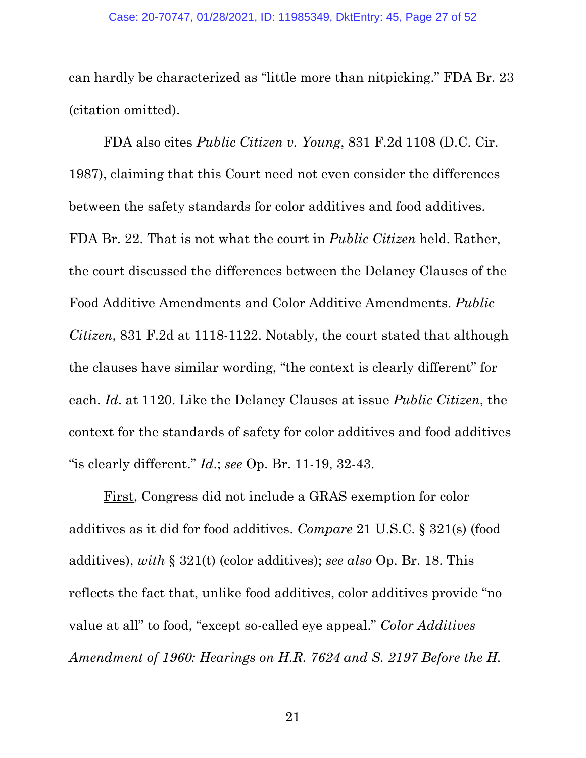can hardly be characterized as "little more than nitpicking." FDA Br. 23 (citation omitted).

<span id="page-26-0"></span>FDA also cites *Public Citizen v. Young*, 831 F.2d 1108 (D.C. Cir. 1987), claiming that this Court need not even consider the differences between the safety standards for color additives and food additives. FDA Br. 22. That is not what the court in *Public Citizen* held. Rather, the court discussed the differences between the Delaney Clauses of the Food Additive Amendments and Color Additive Amendments. *Public Citizen*, 831 F.2d at 1118-1122. Notably, the court stated that although the clauses have similar wording, "the context is clearly different" for each. *Id*. at 1120. Like the Delaney Clauses at issue *Public Citizen*, the context for the standards of safety for color additives and food additives "is clearly different." *Id*.; *see* Op. Br. 11-19, 32-43.

<span id="page-26-2"></span><span id="page-26-1"></span>First, Congress did not include a GRAS exemption for color additives as it did for food additives. *Compare* 21 U.S.C. § 321(s) (food additives), *with* § 321(t) (color additives); *see also* Op. Br. 18. This reflects the fact that, unlike food additives, color additives provide "no value at all" to food, "except so-called eye appeal." *Color Additives Amendment of 1960: Hearings on H.R. 7624 and S. 2197 Before the H.*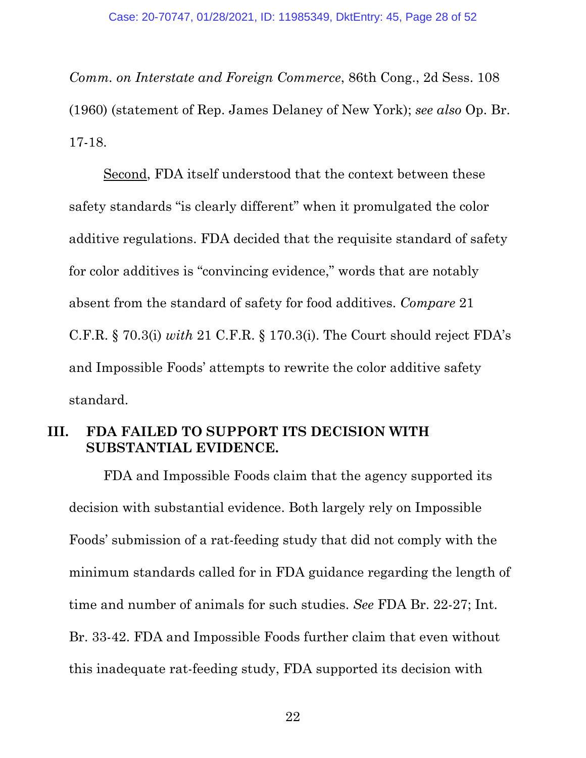*Comm. on Interstate and Foreign Commerce*, 86th Cong., 2d Sess. 108 (1960) (statement of Rep. James Delaney of New York); *see also* Op. Br. 17-18.

<span id="page-27-1"></span>Second, FDA itself understood that the context between these safety standards "is clearly different" when it promulgated the color additive regulations. FDA decided that the requisite standard of safety for color additives is "convincing evidence," words that are notably absent from the standard of safety for food additives. *Compare* 21 C.F.R. § 70.3(i) *with* 21 C.F.R. § 170.3(i). The Court should reject FDA's and Impossible Foods' attempts to rewrite the color additive safety standard.

## <span id="page-27-2"></span><span id="page-27-0"></span>**III. FDA FAILED TO SUPPORT ITS DECISION WITH SUBSTANTIAL EVIDENCE.**

FDA and Impossible Foods claim that the agency supported its decision with substantial evidence. Both largely rely on Impossible Foods' submission of a rat-feeding study that did not comply with the minimum standards called for in FDA guidance regarding the length of time and number of animals for such studies. *See* FDA Br. 22-27; Int. Br. 33-42. FDA and Impossible Foods further claim that even without this inadequate rat-feeding study, FDA supported its decision with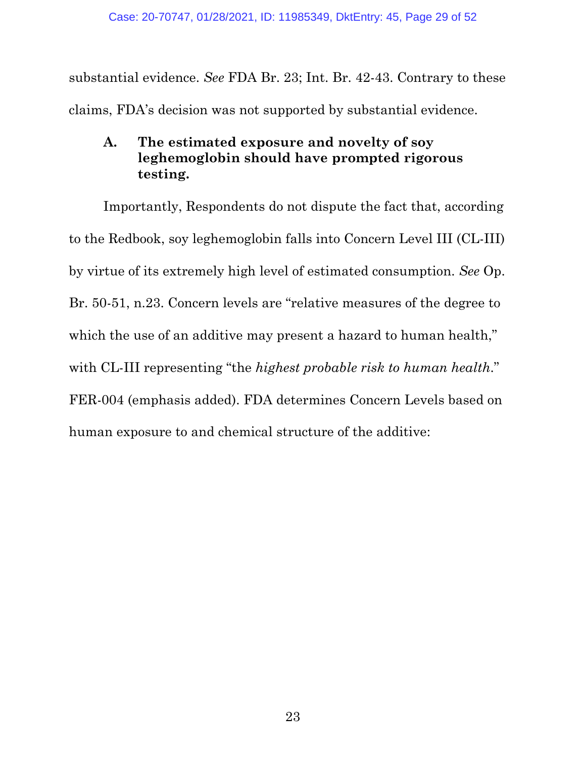substantial evidence. *See* FDA Br. 23; Int. Br. 42-43. Contrary to these claims, FDA's decision was not supported by substantial evidence.

# <span id="page-28-0"></span>**A. The estimated exposure and novelty of soy leghemoglobin should have prompted rigorous testing.**

Importantly, Respondents do not dispute the fact that, according to the Redbook, soy leghemoglobin falls into Concern Level III (CL-III) by virtue of its extremely high level of estimated consumption. *See* Op. Br. 50-51, n.23. Concern levels are "relative measures of the degree to which the use of an additive may present a hazard to human health," with CL-III representing "the *highest probable risk to human health*." FER-004 (emphasis added). FDA determines Concern Levels based on human exposure to and chemical structure of the additive: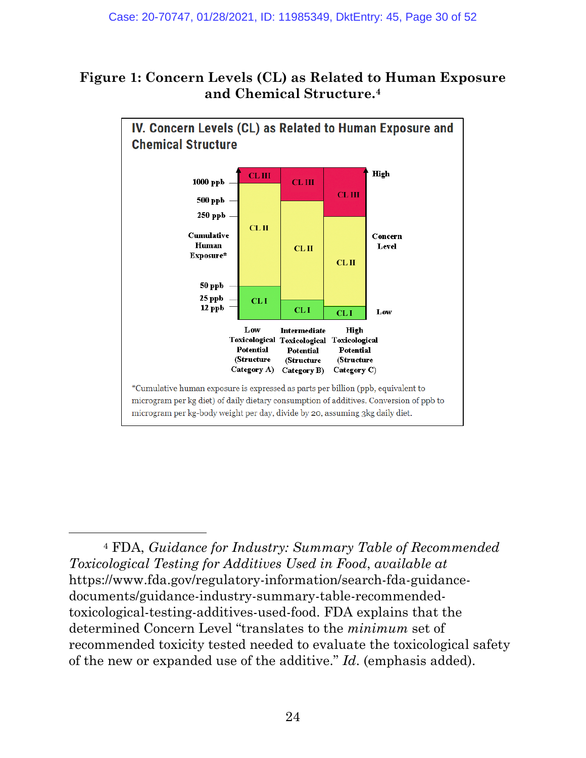# **Figure 1: Concern Levels (CL) as Related to Human Exposure and Chemical Structure.[4](#page-29-0)**



<span id="page-29-0"></span><sup>4</sup> FDA, *Guidance for Industry: Summary Table of Recommended Toxicological Testing for Additives Used in Food*, *available at* https://www.fda.gov/regulatory-information/search-fda-guidancedocuments/guidance-industry-summary-table-recommendedtoxicological-testing-additives-used-food. FDA explains that the determined Concern Level "translates to the *minimum* set of recommended toxicity tested needed to evaluate the toxicological safety of the new or expanded use of the additive." *Id*. (emphasis added).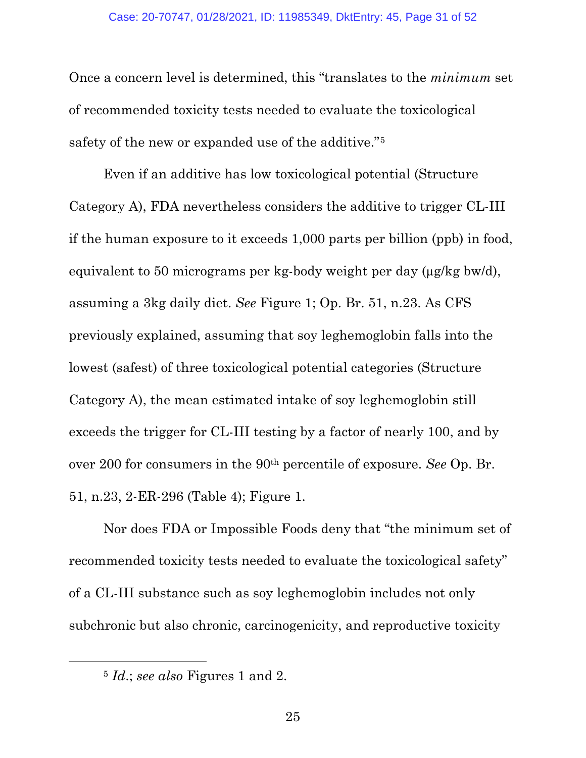Once a concern level is determined, this "translates to the *minimum* set of recommended toxicity tests needed to evaluate the toxicological safety of the new or expanded use of the additive."[5](#page-30-0)

Even if an additive has low toxicological potential (Structure Category A), FDA nevertheless considers the additive to trigger CL-III if the human exposure to it exceeds 1,000 parts per billion (ppb) in food, equivalent to 50 micrograms per kg-body weight per day (µg/kg bw/d), assuming a 3kg daily diet. *See* Figure 1; Op. Br. 51, n.23. As CFS previously explained, assuming that soy leghemoglobin falls into the lowest (safest) of three toxicological potential categories (Structure Category A), the mean estimated intake of soy leghemoglobin still exceeds the trigger for CL-III testing by a factor of nearly 100, and by over 200 for consumers in the 90th percentile of exposure. *See* Op. Br. 51, n.23, 2-ER-296 (Table 4); Figure 1.

Nor does FDA or Impossible Foods deny that "the minimum set of recommended toxicity tests needed to evaluate the toxicological safety" of a CL-III substance such as soy leghemoglobin includes not only subchronic but also chronic, carcinogenicity, and reproductive toxicity

<span id="page-30-0"></span><sup>5</sup> *Id*.; *see also* Figures 1 and 2.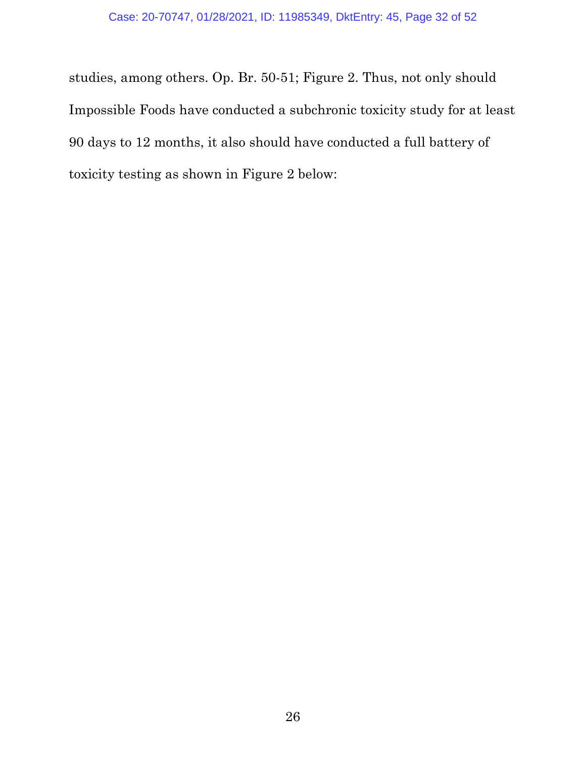studies, among others. Op. Br. 50-51; Figure 2. Thus, not only should Impossible Foods have conducted a subchronic toxicity study for at least 90 days to 12 months, it also should have conducted a full battery of toxicity testing as shown in Figure 2 below: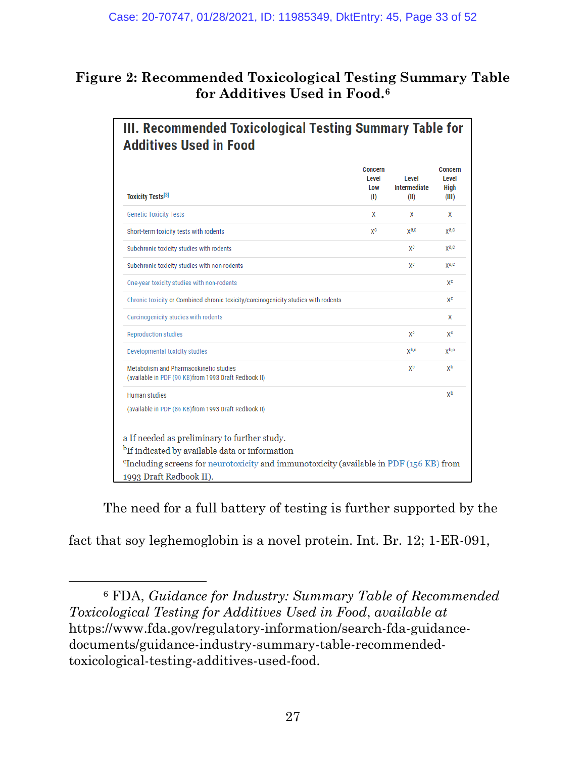# **Figure 2: Recommended Toxicological Testing Summary Table for Additives Used in Food.[6](#page-32-0)**

| x<br>χc | x<br>ya,c | X<br>χa,c |
|---------|-----------|-----------|
|         |           |           |
|         |           |           |
|         | χc        | ya,c      |
|         | χc        | ya,c      |
|         |           | χc        |
|         |           | χc        |
|         |           | x         |
|         | χc        | χc        |
|         | yb,c      | yb,c      |
|         | χb        | χb        |
|         |           | χb        |
|         |           |           |
|         |           |           |

The need for a full battery of testing is further supported by the

fact that soy leghemoglobin is a novel protein. Int. Br. 12; 1-ER-091,

<span id="page-32-0"></span><sup>6</sup> FDA, *Guidance for Industry: Summary Table of Recommended Toxicological Testing for Additives Used in Food*, *available at* https://www.fda.gov/regulatory-information/search-fda-guidancedocuments/guidance-industry-summary-table-recommendedtoxicological-testing-additives-used-food.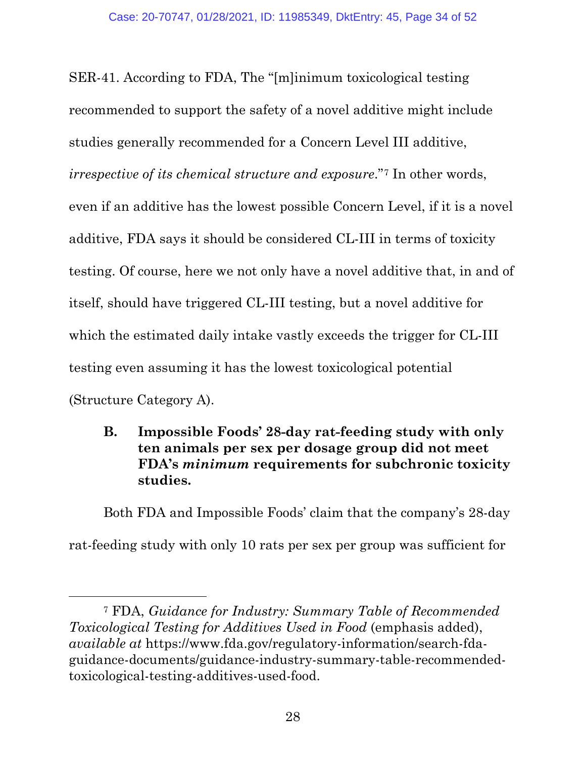SER-41. According to FDA, The "[m]inimum toxicological testing recommended to support the safety of a novel additive might include studies generally recommended for a Concern Level III additive, *irrespective of its chemical structure and exposure*."[7](#page-33-2) In other words, even if an additive has the lowest possible Concern Level, if it is a novel additive, FDA says it should be considered CL-III in terms of toxicity testing. Of course, here we not only have a novel additive that, in and of itself, should have triggered CL-III testing, but a novel additive for which the estimated daily intake vastly exceeds the trigger for CL-III testing even assuming it has the lowest toxicological potential (Structure Category A).

<span id="page-33-0"></span>**B. Impossible Foods' 28-day rat-feeding study with only ten animals per sex per dosage group did not meet FDA's** *minimum* **requirements for subchronic toxicity studies.**

Both FDA and Impossible Foods' claim that the company's 28-day rat-feeding study with only 10 rats per sex per group was sufficient for

<span id="page-33-2"></span><span id="page-33-1"></span><sup>7</sup> FDA, *Guidance for Industry: Summary Table of Recommended Toxicological Testing for Additives Used in Food* (emphasis added), *available at* https://www.fda.gov/regulatory-information/search-fdaguidance-documents/guidance-industry-summary-table-recommendedtoxicological-testing-additives-used-food.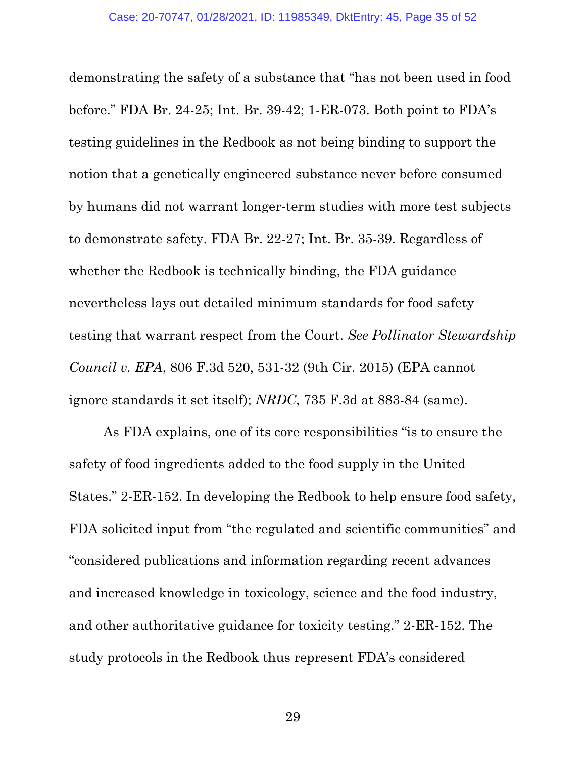demonstrating the safety of a substance that "has not been used in food before." FDA Br. 24-25; Int. Br. 39-42; 1-ER-073. Both point to FDA's testing guidelines in the Redbook as not being binding to support the notion that a genetically engineered substance never before consumed by humans did not warrant longer-term studies with more test subjects to demonstrate safety. FDA Br. 22-27; Int. Br. 35-39. Regardless of whether the Redbook is technically binding, the FDA guidance nevertheless lays out detailed minimum standards for food safety testing that warrant respect from the Court. *See Pollinator Stewardship Council v. EPA*, 806 F.3d 520, 531-32 (9th Cir. 2015) (EPA cannot ignore standards it set itself); *NRDC*, 735 F.3d at 883-84 (same).

<span id="page-34-1"></span><span id="page-34-0"></span>As FDA explains, one of its core responsibilities "is to ensure the safety of food ingredients added to the food supply in the United States." 2-ER-152. In developing the Redbook to help ensure food safety, FDA solicited input from "the regulated and scientific communities" and "considered publications and information regarding recent advances and increased knowledge in toxicology, science and the food industry, and other authoritative guidance for toxicity testing." 2-ER-152. The study protocols in the Redbook thus represent FDA's considered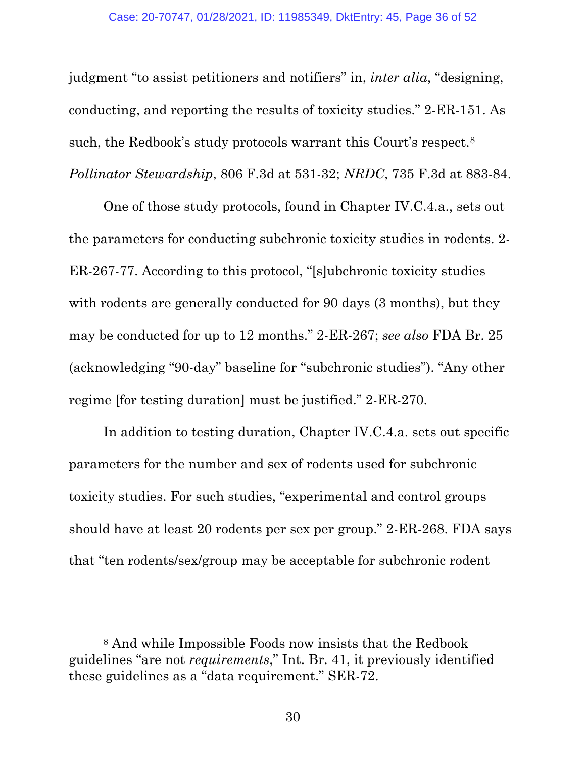judgment "to assist petitioners and notifiers" in, *inter alia*, "designing, conducting, and reporting the results of toxicity studies." 2-ER-151. As such, the Redbook's study protocols warrant this Court's respect.[8](#page-35-1) *Pollinator Stewardship*, 806 F.3d at 531-32; *NRDC*, 735 F.3d at 883-84.

<span id="page-35-0"></span>One of those study protocols, found in Chapter IV.C.4.a., sets out the parameters for conducting subchronic toxicity studies in rodents. 2- ER-267-77. According to this protocol, "[s]ubchronic toxicity studies with rodents are generally conducted for 90 days (3 months), but they may be conducted for up to 12 months." 2-ER-267; *see also* FDA Br. 25 (acknowledging "90-day" baseline for "subchronic studies"). "Any other regime [for testing duration] must be justified." 2-ER-270.

In addition to testing duration, Chapter IV.C.4.a. sets out specific parameters for the number and sex of rodents used for subchronic toxicity studies. For such studies, "experimental and control groups should have at least 20 rodents per sex per group." 2-ER-268. FDA says that "ten rodents/sex/group may be acceptable for subchronic rodent

<span id="page-35-1"></span><sup>8</sup> And while Impossible Foods now insists that the Redbook guidelines "are not *requirements*," Int. Br. 41, it previously identified these guidelines as a "data requirement." SER-72.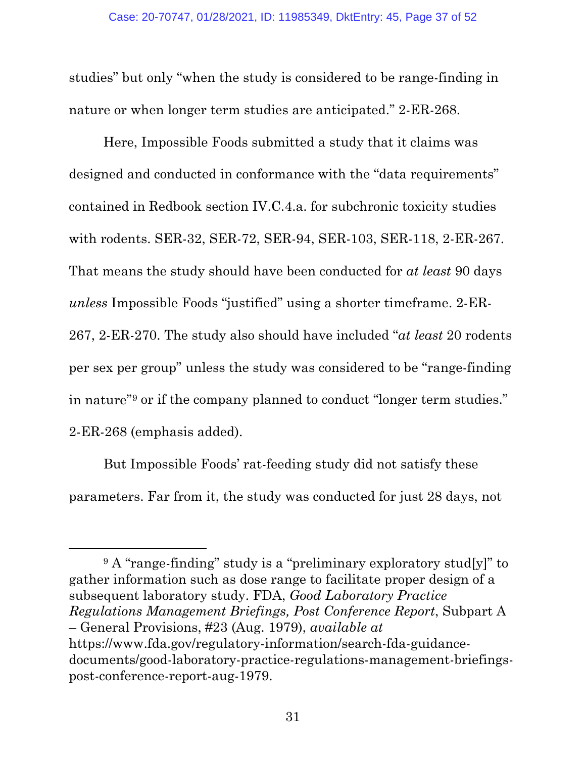studies" but only "when the study is considered to be range-finding in nature or when longer term studies are anticipated." 2-ER-268.

Here, Impossible Foods submitted a study that it claims was designed and conducted in conformance with the "data requirements" contained in Redbook section IV.C.4.a. for subchronic toxicity studies with rodents. SER-32, SER-72, SER-94, SER-103, SER-118, 2-ER-267. That means the study should have been conducted for *at least* 90 days *unless* Impossible Foods "justified" using a shorter timeframe. 2-ER-267, 2-ER-270. The study also should have included "*at least* 20 rodents per sex per group" unless the study was considered to be "range-finding in nature"[9](#page-36-1) or if the company planned to conduct "longer term studies." 2-ER-268 (emphasis added).

But Impossible Foods' rat-feeding study did not satisfy these parameters. Far from it, the study was conducted for just 28 days, not

 $\overline{a}$ 

<span id="page-36-1"></span><span id="page-36-0"></span><sup>9</sup> A "range-finding" study is a "preliminary exploratory stud[y]" to gather information such as dose range to facilitate proper design of a subsequent laboratory study. FDA, *Good Laboratory Practice Regulations Management Briefings, Post Conference Report*, Subpart A – General Provisions, #23 (Aug. 1979), *available at* https://www.fda.gov/regulatory-information/search-fda-guidancedocuments/good-laboratory-practice-regulations-management-briefingspost-conference-report-aug-1979.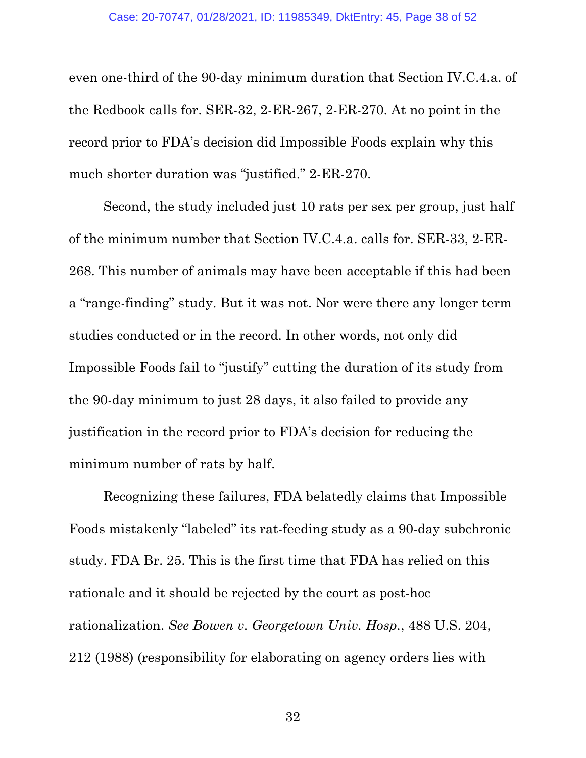even one-third of the 90-day minimum duration that Section IV.C.4.a. of the Redbook calls for. SER-32, 2-ER-267, 2-ER-270. At no point in the record prior to FDA's decision did Impossible Foods explain why this much shorter duration was "justified." 2-ER-270.

Second, the study included just 10 rats per sex per group, just half of the minimum number that Section IV.C.4.a. calls for. SER-33, 2-ER-268. This number of animals may have been acceptable if this had been a "range-finding" study. But it was not. Nor were there any longer term studies conducted or in the record. In other words, not only did Impossible Foods fail to "justify" cutting the duration of its study from the 90-day minimum to just 28 days, it also failed to provide any justification in the record prior to FDA's decision for reducing the minimum number of rats by half.

<span id="page-37-0"></span>Recognizing these failures, FDA belatedly claims that Impossible Foods mistakenly "labeled" its rat-feeding study as a 90-day subchronic study. FDA Br. 25. This is the first time that FDA has relied on this rationale and it should be rejected by the court as post-hoc rationalization. *See Bowen v. Georgetown Univ. Hosp.*, 488 U.S. 204, 212 (1988) (responsibility for elaborating on agency orders lies with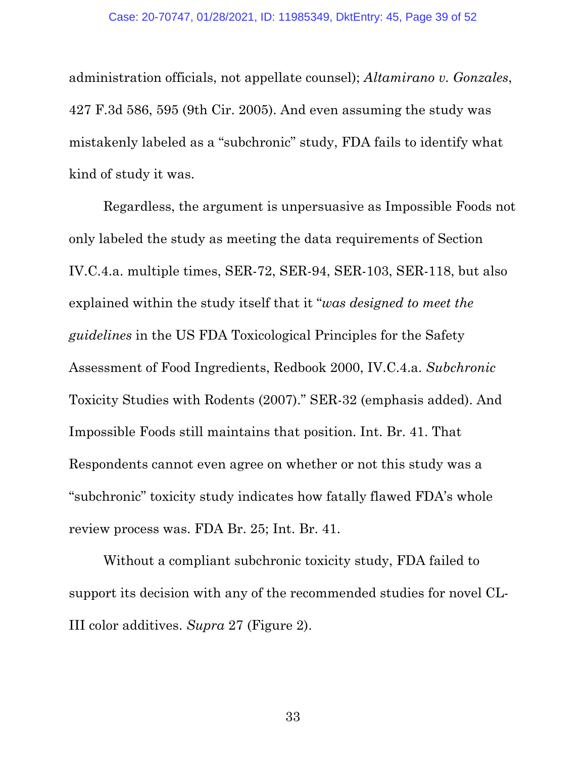<span id="page-38-0"></span>administration officials, not appellate counsel); *Altamirano v. Gonzales*, 427 F.3d 586, 595 (9th Cir. 2005). And even assuming the study was mistakenly labeled as a "subchronic" study, FDA fails to identify what kind of study it was.

Regardless, the argument is unpersuasive as Impossible Foods not only labeled the study as meeting the data requirements of Section IV.C.4.a. multiple times, SER-72, SER-94, SER-103, SER-118, but also explained within the study itself that it "*was designed to meet the guidelines* in the US FDA Toxicological Principles for the Safety Assessment of Food Ingredients, Redbook 2000, IV.C.4.a. *Subchronic* Toxicity Studies with Rodents (2007)." SER-32 (emphasis added). And Impossible Foods still maintains that position. Int. Br. 41. That Respondents cannot even agree on whether or not this study was a "subchronic" toxicity study indicates how fatally flawed FDA's whole review process was. FDA Br. 25; Int. Br. 41.

Without a compliant subchronic toxicity study, FDA failed to support its decision with any of the recommended studies for novel CL-III color additives. *Supra* 27 (Figure 2).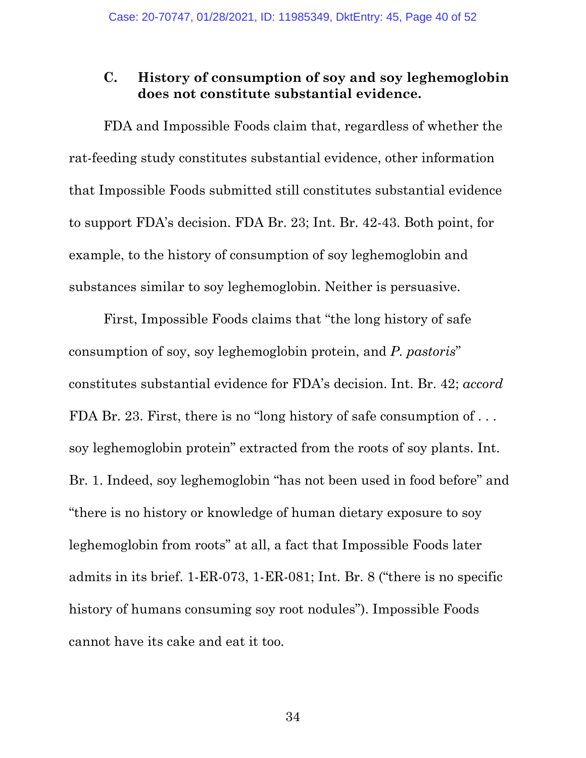# <span id="page-39-0"></span>**C. History of consumption of soy and soy leghemoglobin does not constitute substantial evidence.**

FDA and Impossible Foods claim that, regardless of whether the rat-feeding study constitutes substantial evidence, other information that Impossible Foods submitted still constitutes substantial evidence to support FDA's decision. FDA Br. 23; Int. Br. 42-43. Both point, for example, to the history of consumption of soy leghemoglobin and substances similar to soy leghemoglobin. Neither is persuasive.

First, Impossible Foods claims that "the long history of safe consumption of soy, soy leghemoglobin protein, and *P. pastoris*" constitutes substantial evidence for FDA's decision. Int. Br. 42; *accord* FDA Br. 23. First, there is no "long history of safe consumption of ... soy leghemoglobin protein" extracted from the roots of soy plants. Int. Br. 1. Indeed, soy leghemoglobin "has not been used in food before" and "there is no history or knowledge of human dietary exposure to soy leghemoglobin from roots" at all, a fact that Impossible Foods later admits in its brief. 1-ER-073, 1-ER-081; Int. Br. 8 ("there is no specific history of humans consuming soy root nodules"). Impossible Foods cannot have its cake and eat it too.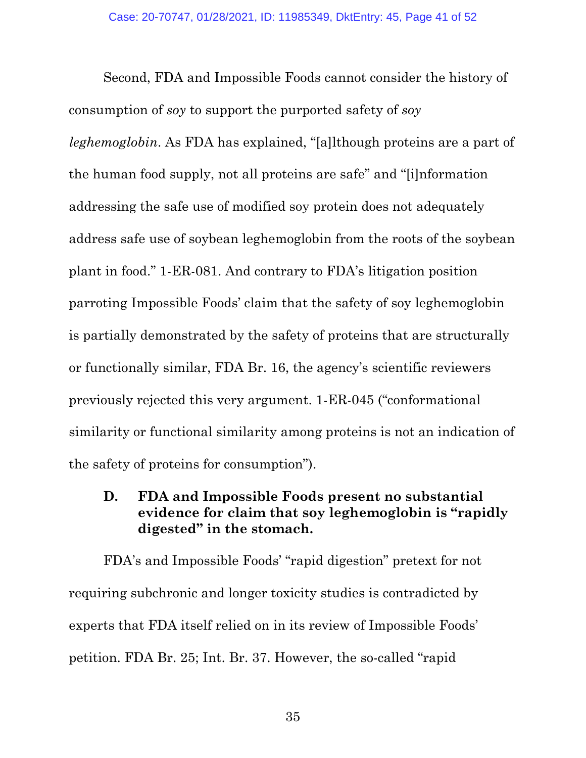Second, FDA and Impossible Foods cannot consider the history of consumption of *soy* to support the purported safety of *soy leghemoglobin*. As FDA has explained, "[a]lthough proteins are a part of the human food supply, not all proteins are safe" and "[i]nformation addressing the safe use of modified soy protein does not adequately address safe use of soybean leghemoglobin from the roots of the soybean plant in food." 1-ER-081. And contrary to FDA's litigation position parroting Impossible Foods' claim that the safety of soy leghemoglobin is partially demonstrated by the safety of proteins that are structurally or functionally similar, FDA Br. 16, the agency's scientific reviewers previously rejected this very argument. 1-ER-045 ("conformational similarity or functional similarity among proteins is not an indication of the safety of proteins for consumption").

# <span id="page-40-0"></span>**D. FDA and Impossible Foods present no substantial evidence for claim that soy leghemoglobin is "rapidly digested" in the stomach.**

FDA's and Impossible Foods' "rapid digestion" pretext for not requiring subchronic and longer toxicity studies is contradicted by experts that FDA itself relied on in its review of Impossible Foods' petition. FDA Br. 25; Int. Br. 37. However, the so-called "rapid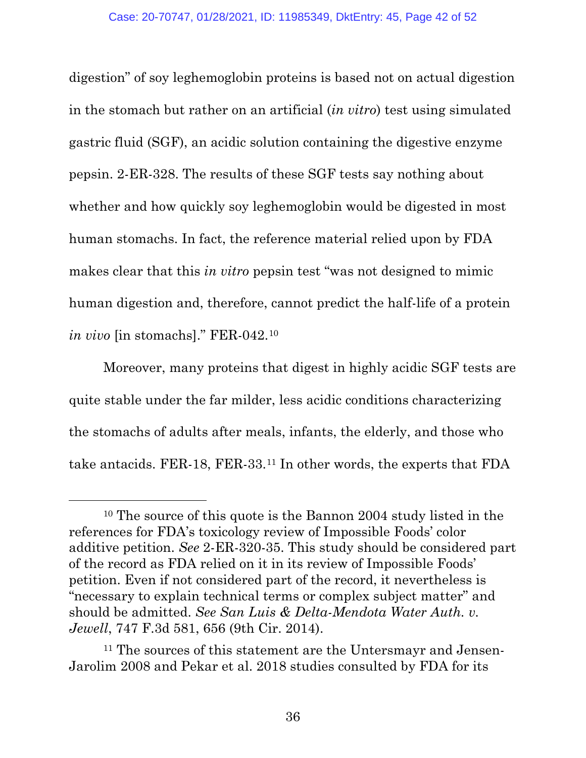digestion" of soy leghemoglobin proteins is based not on actual digestion in the stomach but rather on an artificial (*in vitro*) test using simulated gastric fluid (SGF), an acidic solution containing the digestive enzyme pepsin. 2-ER-328. The results of these SGF tests say nothing about whether and how quickly soy leghemoglobin would be digested in most human stomachs. In fact, the reference material relied upon by FDA makes clear that this *in vitro* pepsin test "was not designed to mimic human digestion and, therefore, cannot predict the half-life of a protein *in vivo* [in stomachs]." FER-042.[10](#page-41-1)

Moreover, many proteins that digest in highly acidic SGF tests are quite stable under the far milder, less acidic conditions characterizing the stomachs of adults after meals, infants, the elderly, and those who take antacids. FER-18, FER-33.[11](#page-41-2) In other words, the experts that FDA

<span id="page-41-1"></span><sup>10</sup> The source of this quote is the Bannon 2004 study listed in the references for FDA's toxicology review of Impossible Foods' color additive petition. *See* 2-ER-320-35. This study should be considered part of the record as FDA relied on it in its review of Impossible Foods' petition. Even if not considered part of the record, it nevertheless is "necessary to explain technical terms or complex subject matter" and should be admitted. *See San Luis & Delta-Mendota Water Auth. v. Jewell*, 747 F.3d 581, 656 (9th Cir. 2014).

<span id="page-41-2"></span><span id="page-41-0"></span><sup>11</sup> The sources of this statement are the Untersmayr and Jensen-Jarolim 2008 and Pekar et al. 2018 studies consulted by FDA for its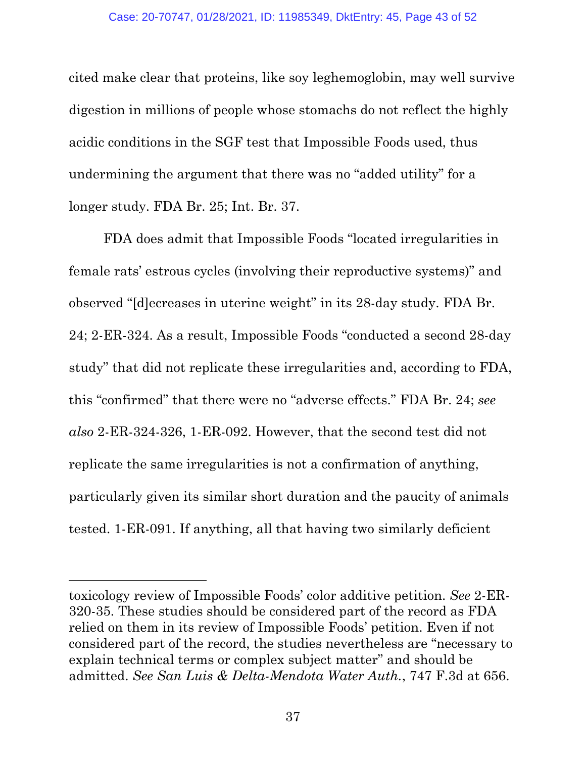cited make clear that proteins, like soy leghemoglobin, may well survive digestion in millions of people whose stomachs do not reflect the highly acidic conditions in the SGF test that Impossible Foods used, thus undermining the argument that there was no "added utility" for a longer study. FDA Br. 25; Int. Br. 37.

FDA does admit that Impossible Foods "located irregularities in female rats' estrous cycles (involving their reproductive systems)" and observed "[d]ecreases in uterine weight" in its 28-day study. FDA Br. 24; 2-ER-324. As a result, Impossible Foods "conducted a second 28-day study" that did not replicate these irregularities and, according to FDA, this "confirmed" that there were no "adverse effects." FDA Br. 24; *see also* 2-ER-324-326, 1-ER-092. However, that the second test did not replicate the same irregularities is not a confirmation of anything, particularly given its similar short duration and the paucity of animals tested. 1-ER-091. If anything, all that having two similarly deficient

<span id="page-42-0"></span>toxicology review of Impossible Foods' color additive petition. *See* 2-ER-320-35. These studies should be considered part of the record as FDA relied on them in its review of Impossible Foods' petition. Even if not considered part of the record, the studies nevertheless are "necessary to explain technical terms or complex subject matter" and should be admitted. *See San Luis & Delta-Mendota Water Auth.*, 747 F.3d at 656.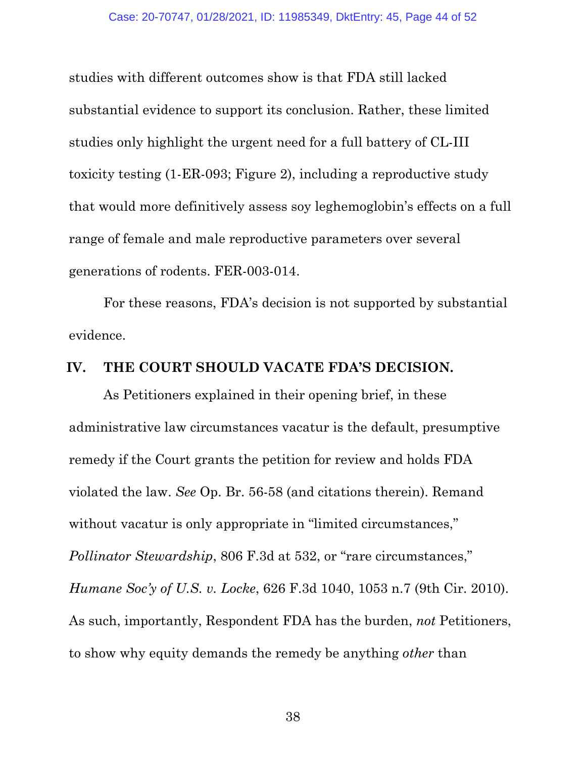studies with different outcomes show is that FDA still lacked substantial evidence to support its conclusion. Rather, these limited studies only highlight the urgent need for a full battery of CL-III toxicity testing (1-ER-093; Figure 2), including a reproductive study that would more definitively assess soy leghemoglobin's effects on a full range of female and male reproductive parameters over several generations of rodents. FER-003-014.

For these reasons, FDA's decision is not supported by substantial evidence.

### <span id="page-43-0"></span>**IV. THE COURT SHOULD VACATE FDA'S DECISION.**

<span id="page-43-1"></span>As Petitioners explained in their opening brief, in these administrative law circumstances vacatur is the default, presumptive remedy if the Court grants the petition for review and holds FDA violated the law. *See* Op. Br. 56-58 (and citations therein). Remand without vacatur is only appropriate in "limited circumstances," *Pollinator Stewardship*, 806 F.3d at 532, or "rare circumstances," *Humane Soc'y of U.S. v. Locke*, 626 F.3d 1040, 1053 n.7 (9th Cir. 2010). As such, importantly, Respondent FDA has the burden, *not* Petitioners, to show why equity demands the remedy be anything *other* than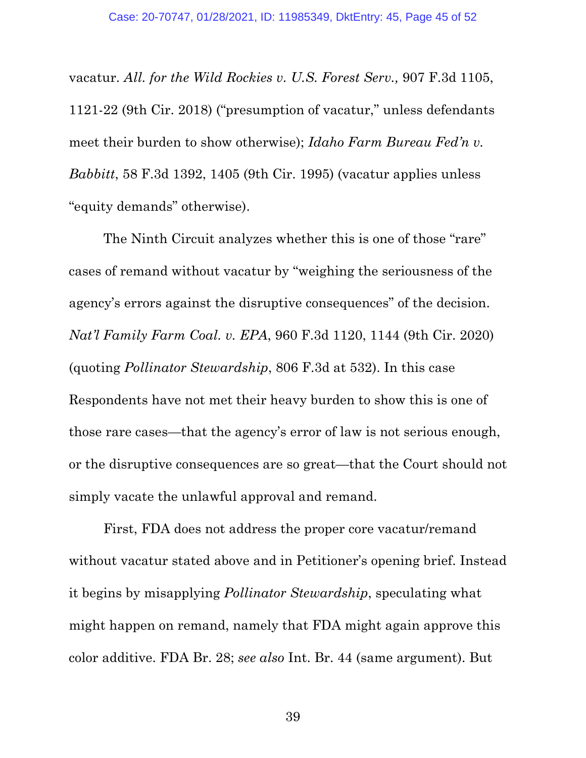<span id="page-44-1"></span><span id="page-44-0"></span>vacatur. *All. for the Wild Rockies v. U.S. Forest Serv.,* 907 F.3d 1105, 1121-22 (9th Cir. 2018) ("presumption of vacatur," unless defendants meet their burden to show otherwise); *Idaho Farm Bureau Fed'n v. Babbitt*, 58 F.3d 1392, 1405 (9th Cir. 1995) (vacatur applies unless "equity demands" otherwise).

<span id="page-44-2"></span>The Ninth Circuit analyzes whether this is one of those "rare" cases of remand without vacatur by "weighing the seriousness of the agency's errors against the disruptive consequences" of the decision. *Nat'l Family Farm Coal. v. EPA*, 960 F.3d 1120, 1144 (9th Cir. 2020) (quoting *Pollinator Stewardship*, 806 F.3d at 532). In this case Respondents have not met their heavy burden to show this is one of those rare cases—that the agency's error of law is not serious enough, or the disruptive consequences are so great—that the Court should not simply vacate the unlawful approval and remand.

First, FDA does not address the proper core vacatur/remand without vacatur stated above and in Petitioner's opening brief. Instead it begins by misapplying *Pollinator Stewardship*, speculating what might happen on remand, namely that FDA might again approve this color additive. FDA Br. 28; *see also* Int. Br. 44 (same argument). But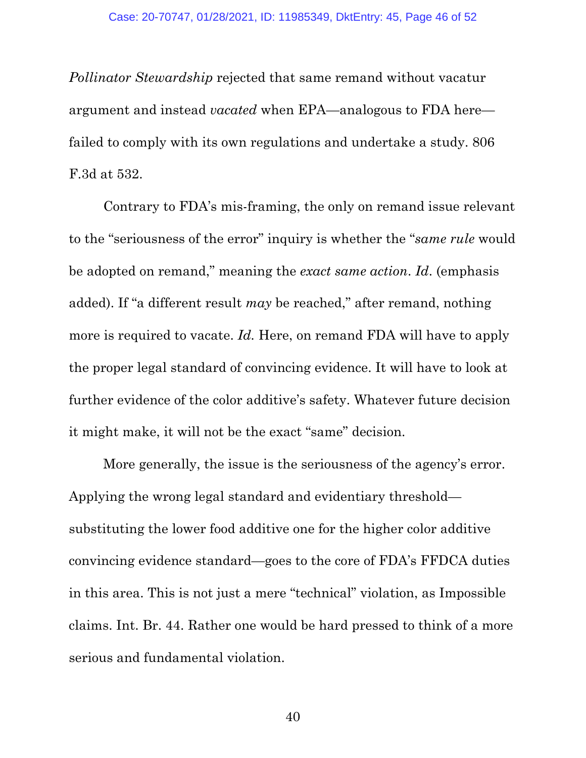*Pollinator Stewardship* rejected that same remand without vacatur argument and instead *vacated* when EPA—analogous to FDA here failed to comply with its own regulations and undertake a study. 806 F.3d at 532.

Contrary to FDA's mis-framing, the only on remand issue relevant to the "seriousness of the error" inquiry is whether the "*same rule* would be adopted on remand," meaning the *exact same action*. *Id*. (emphasis added). If "a different result *may* be reached," after remand, nothing more is required to vacate. *Id.* Here, on remand FDA will have to apply the proper legal standard of convincing evidence. It will have to look at further evidence of the color additive's safety. Whatever future decision it might make, it will not be the exact "same" decision.

More generally, the issue is the seriousness of the agency's error. Applying the wrong legal standard and evidentiary threshold substituting the lower food additive one for the higher color additive convincing evidence standard—goes to the core of FDA's FFDCA duties in this area. This is not just a mere "technical" violation, as Impossible claims. Int. Br. 44. Rather one would be hard pressed to think of a more serious and fundamental violation.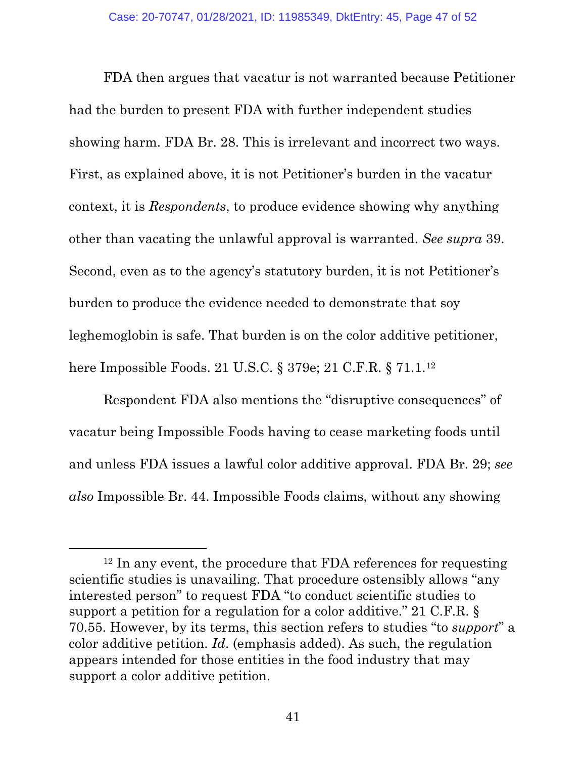FDA then argues that vacatur is not warranted because Petitioner had the burden to present FDA with further independent studies showing harm. FDA Br. 28. This is irrelevant and incorrect two ways. First, as explained above, it is not Petitioner's burden in the vacatur context, it is *Respondents*, to produce evidence showing why anything other than vacating the unlawful approval is warranted. *See supra* 39. Second, even as to the agency's statutory burden, it is not Petitioner's burden to produce the evidence needed to demonstrate that soy leghemoglobin is safe. That burden is on the color additive petitioner, here Impossible Foods. 21 U.S.C. § 379e; 21 C.F.R. § 71.1.[12](#page-46-2)

<span id="page-46-1"></span>Respondent FDA also mentions the "disruptive consequences" of vacatur being Impossible Foods having to cease marketing foods until and unless FDA issues a lawful color additive approval. FDA Br. 29; *see also* Impossible Br. 44. Impossible Foods claims, without any showing

<span id="page-46-2"></span><span id="page-46-0"></span><sup>&</sup>lt;sup>12</sup> In any event, the procedure that FDA references for requesting scientific studies is unavailing. That procedure ostensibly allows "any interested person" to request FDA "to conduct scientific studies to support a petition for a regulation for a color additive." 21 C.F.R. § 70.55. However, by its terms, this section refers to studies "to *support*" a color additive petition. *Id*. (emphasis added). As such, the regulation appears intended for those entities in the food industry that may support a color additive petition.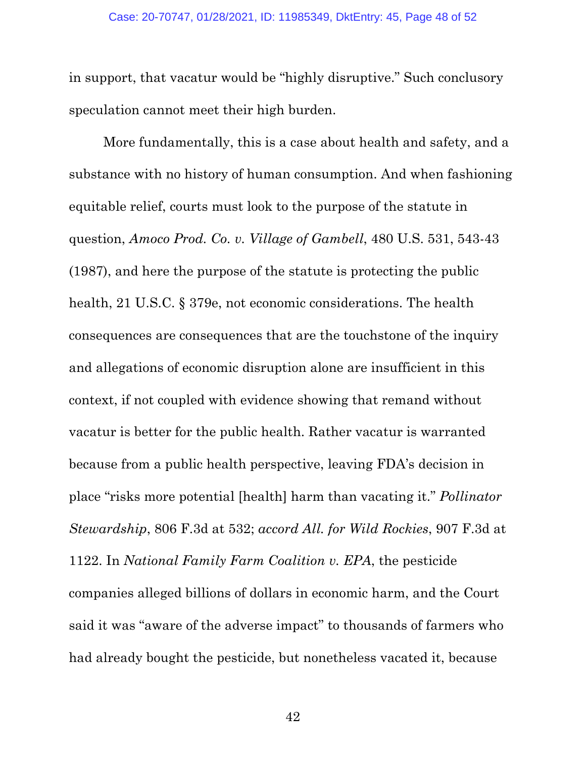in support, that vacatur would be "highly disruptive." Such conclusory speculation cannot meet their high burden.

<span id="page-47-1"></span><span id="page-47-0"></span>More fundamentally, this is a case about health and safety, and a substance with no history of human consumption. And when fashioning equitable relief, courts must look to the purpose of the statute in question, *Amoco Prod. Co. v. Village of Gambell*, 480 U.S. 531, 543-43 (1987), and here the purpose of the statute is protecting the public health, 21 U.S.C. § 379e, not economic considerations. The health consequences are consequences that are the touchstone of the inquiry and allegations of economic disruption alone are insufficient in this context, if not coupled with evidence showing that remand without vacatur is better for the public health. Rather vacatur is warranted because from a public health perspective, leaving FDA's decision in place "risks more potential [health] harm than vacating it." *Pollinator Stewardship*, 806 F.3d at 532; *accord All. for Wild Rockies*, 907 F.3d at 1122. In *National Family Farm Coalition v. EPA*, the pesticide companies alleged billions of dollars in economic harm, and the Court said it was "aware of the adverse impact" to thousands of farmers who had already bought the pesticide, but nonetheless vacated it, because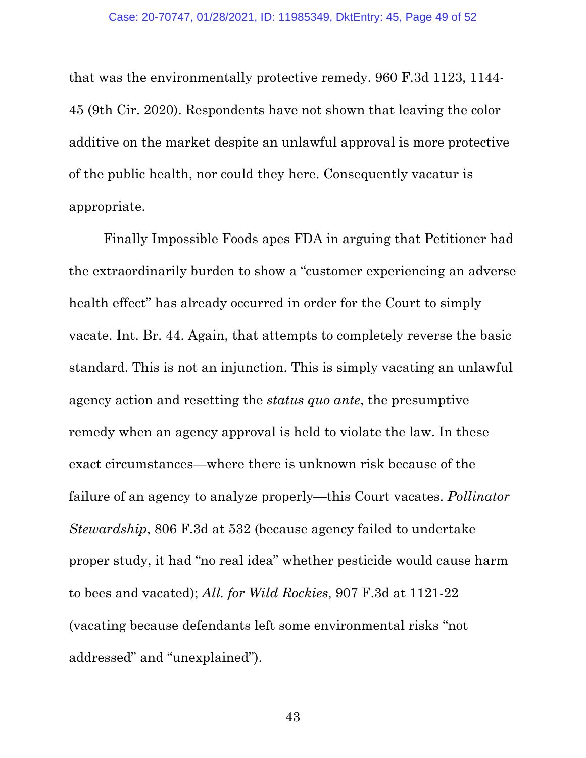that was the environmentally protective remedy. 960 F.3d 1123, 1144- 45 (9th Cir. 2020). Respondents have not shown that leaving the color additive on the market despite an unlawful approval is more protective of the public health, nor could they here. Consequently vacatur is appropriate.

<span id="page-48-0"></span>Finally Impossible Foods apes FDA in arguing that Petitioner had the extraordinarily burden to show a "customer experiencing an adverse health effect" has already occurred in order for the Court to simply vacate. Int. Br. 44. Again, that attempts to completely reverse the basic standard. This is not an injunction. This is simply vacating an unlawful agency action and resetting the *status quo ante*, the presumptive remedy when an agency approval is held to violate the law. In these exact circumstances—where there is unknown risk because of the failure of an agency to analyze properly—this Court vacates. *Pollinator Stewardship*, 806 F.3d at 532 (because agency failed to undertake proper study, it had "no real idea" whether pesticide would cause harm to bees and vacated); *All. for Wild Rockies*, 907 F.3d at 1121-22 (vacating because defendants left some environmental risks "not addressed" and "unexplained").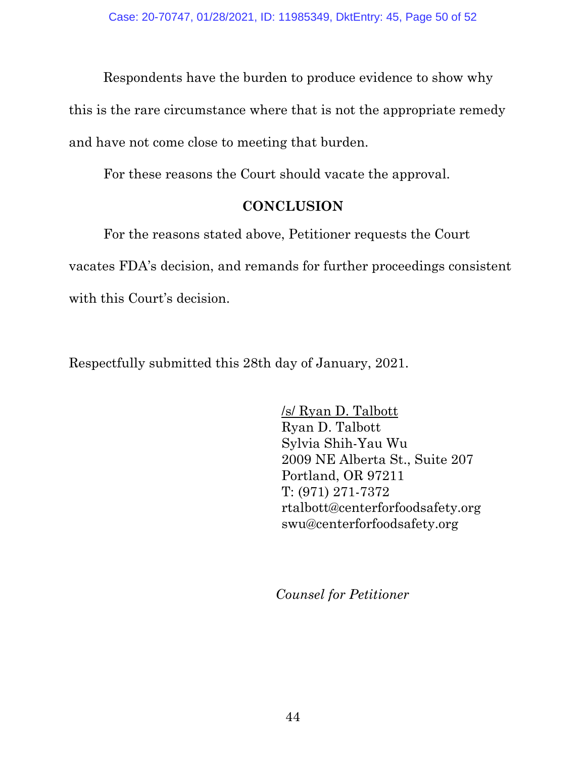Respondents have the burden to produce evidence to show why

this is the rare circumstance where that is not the appropriate remedy

and have not come close to meeting that burden.

For these reasons the Court should vacate the approval.

# **CONCLUSION**

<span id="page-49-0"></span>For the reasons stated above, Petitioner requests the Court vacates FDA's decision, and remands for further proceedings consistent with this Court's decision.

Respectfully submitted this 28th day of January, 2021.

/s/ Ryan D. Talbott Ryan D. Talbott Sylvia Shih-Yau Wu 2009 NE Alberta St., Suite 207 Portland, OR 97211 T: (971) 271-7372 rtalbott@centerforfoodsafety.org swu@centerforfoodsafety.org

*Counsel for Petitioner*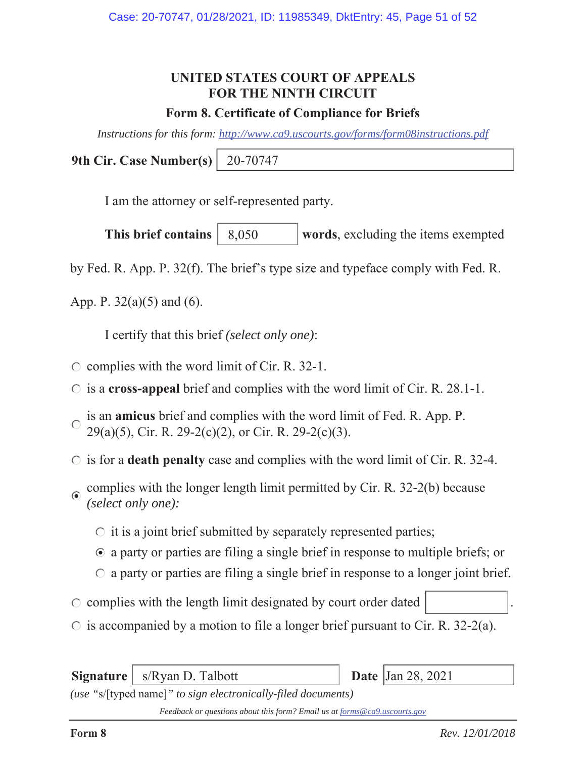# **UNITED STATES COURT OF APPEALS FOR THE NINTH CIRCUIT**

## **Form 8. Certificate of Compliance for Briefs**

*Instructions for this form: http://www.ca9.uscourts.gov/forms/form08instructions.pdf*

**9th Cir. Case Number(s)** 20-70747

I am the attorney or self-represented party.

**This brief contains** | 8,050 words, excluding the items exempted 8,050

by Fed. R. App. P. 32(f). The brief's type size and typeface comply with Fed. R.

App. P.  $32(a)(5)$  and (6).

I certify that this brief *(select only one)*:

- $\circ$  complies with the word limit of Cir. R. 32-1.
- is a **cross-appeal** brief and complies with the word limit of Cir. R. 28.1-1.
- is an **amicus** brief and complies with the word limit of Fed. R. App. P.  $\bigcap$ 29(a)(5), Cir. R. 29-2(c)(2), or Cir. R. 29-2(c)(3).
- is for a **death penalty** case and complies with the word limit of Cir. R. 32-4.
- complies with the longer length limit permitted by Cir. R. 32-2(b) because *(select only one):*
	- $\circ$  it is a joint brief submitted by separately represented parties;
	- a party or parties are filing a single brief in response to multiple briefs; or
	- $\circ$  a party or parties are filing a single brief in response to a longer joint brief.
- $\circ$  complies with the length limit designated by court order dated
- $\circ$  is accompanied by a motion to file a longer brief pursuant to Cir. R. 32-2(a).

**Signature** | s/Ryan D. Talbott

Date  $|Jan 28, 2021$ 

*(use "*s/[typed name]*" to sign electronically-filed documents)*

*Feedback or questions about this form? Email us at forms@ca9.uscourts.gov*